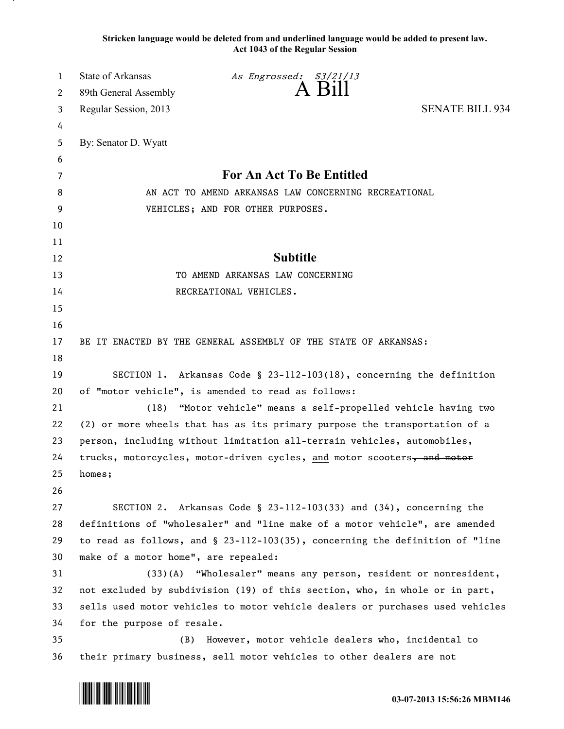**Stricken language would be deleted from and underlined language would be added to present law. Act 1043 of the Regular Session**

| 1  | <b>State of Arkansas</b>             | As Engrossed: S3/21/13                                                          |                        |
|----|--------------------------------------|---------------------------------------------------------------------------------|------------------------|
| 2  | 89th General Assembly                | A Bill                                                                          |                        |
| 3  | Regular Session, 2013                |                                                                                 | <b>SENATE BILL 934</b> |
| 4  |                                      |                                                                                 |                        |
| 5  | By: Senator D. Wyatt                 |                                                                                 |                        |
| 6  |                                      |                                                                                 |                        |
| 7  |                                      | For An Act To Be Entitled                                                       |                        |
| 8  |                                      | AN ACT TO AMEND ARKANSAS LAW CONCERNING RECREATIONAL                            |                        |
| 9  |                                      | VEHICLES; AND FOR OTHER PURPOSES.                                               |                        |
| 10 |                                      |                                                                                 |                        |
| 11 |                                      |                                                                                 |                        |
| 12 |                                      | <b>Subtitle</b>                                                                 |                        |
| 13 |                                      | TO AMEND ARKANSAS LAW CONCERNING                                                |                        |
| 14 |                                      | RECREATIONAL VEHICLES.                                                          |                        |
| 15 |                                      |                                                                                 |                        |
| 16 |                                      |                                                                                 |                        |
| 17 |                                      | BE IT ENACTED BY THE GENERAL ASSEMBLY OF THE STATE OF ARKANSAS:                 |                        |
| 18 |                                      |                                                                                 |                        |
| 19 |                                      | SECTION 1. Arkansas Code § 23-112-103(18), concerning the definition            |                        |
| 20 |                                      | of "motor vehicle", is amended to read as follows:                              |                        |
| 21 | (18)                                 | "Motor vehicle" means a self-propelled vehicle having two                       |                        |
| 22 |                                      | (2) or more wheels that has as its primary purpose the transportation of a      |                        |
| 23 |                                      | person, including without limitation all-terrain vehicles, automobiles,         |                        |
| 24 |                                      | trucks, motorcycles, motor-driven cycles, and motor scooters, and motor         |                        |
| 25 | homes;                               |                                                                                 |                        |
| 26 |                                      |                                                                                 |                        |
| 27 |                                      | SECTION 2. Arkansas Code § 23-112-103(33) and (34), concerning the              |                        |
| 28 |                                      | definitions of "wholesaler" and "line make of a motor vehicle", are amended     |                        |
| 29 |                                      | to read as follows, and $\S$ 23-112-103(35), concerning the definition of "line |                        |
| 30 | make of a motor home", are repealed: |                                                                                 |                        |
| 31 |                                      | (33)(A) "Wholesaler" means any person, resident or nonresident,                 |                        |
| 32 |                                      | not excluded by subdivision (19) of this section, who, in whole or in part,     |                        |
| 33 |                                      | sells used motor vehicles to motor vehicle dealers or purchases used vehicles   |                        |
| 34 | for the purpose of resale.           |                                                                                 |                        |
| 35 | (B)                                  | However, motor vehicle dealers who, incidental to                               |                        |
| 36 |                                      | their primary business, sell motor vehicles to other dealers are not            |                        |

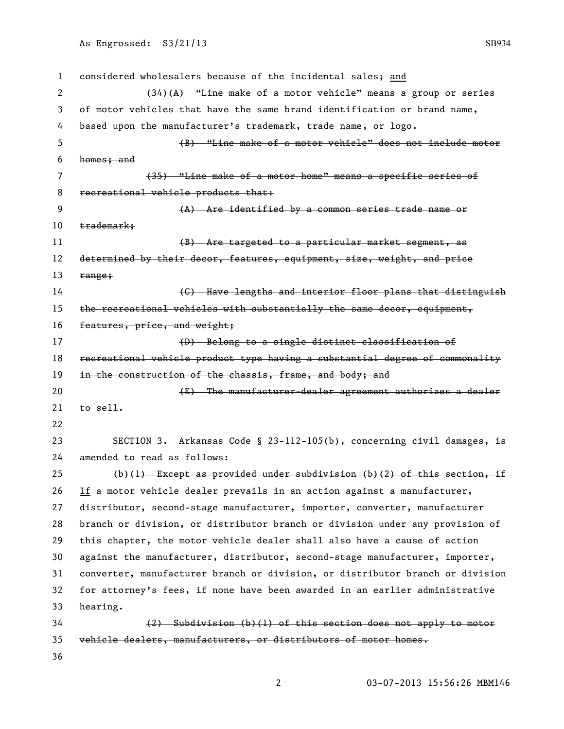considered wholesalers because of the incidental sales; and 2 (34) $(A)$  "Line make of a motor vehicle" means a group or series of motor vehicles that have the same brand identification or brand name, based upon the manufacturer's trademark, trade name, or logo. (B) ―Line make of a motor vehicle‖ does not include motor homes; and 7 (35) "Line make of a motor home" means a specific series of 8 recreational vehicle products that: (A) Are identified by a common series trade name or 10 trademark; 11 (B) Are targeted to a particular market segment, as 12 determined by their decor, features, equipment, size, weight, and price 13  $r$ ange; **14 Example 20 (C)** Have lengths and interior floor plans that distinguish 15 the recreational vehicles with substantially the same decor, equipment, 16 features, price, and weight; 17 (D) Belong to a single distinct classification of 18 recreational vehicle product type having a substantial degree of commonality 19 in the construction of the chassis, frame, and body; and **E** The manufacturer-dealer agreement authorizes a dealer to sell. SECTION 3. Arkansas Code § 23-112-105(b), concerning civil damages, is amended to read as follows: 25 (b) $(1)$  Except as provided under subdivision  $(b)(2)$  of this section, if If a motor vehicle dealer prevails in an action against a manufacturer, distributor, second-stage manufacturer, importer, converter, manufacturer branch or division, or distributor branch or division under any provision of this chapter, the motor vehicle dealer shall also have a cause of action against the manufacturer, distributor, second-stage manufacturer, importer, converter, manufacturer branch or division, or distributor branch or division for attorney's fees, if none have been awarded in an earlier administrative hearing. (2) Subdivision (b)(1) of this section does not apply to motor vehicle dealers, manufacturers, or distributors of motor homes.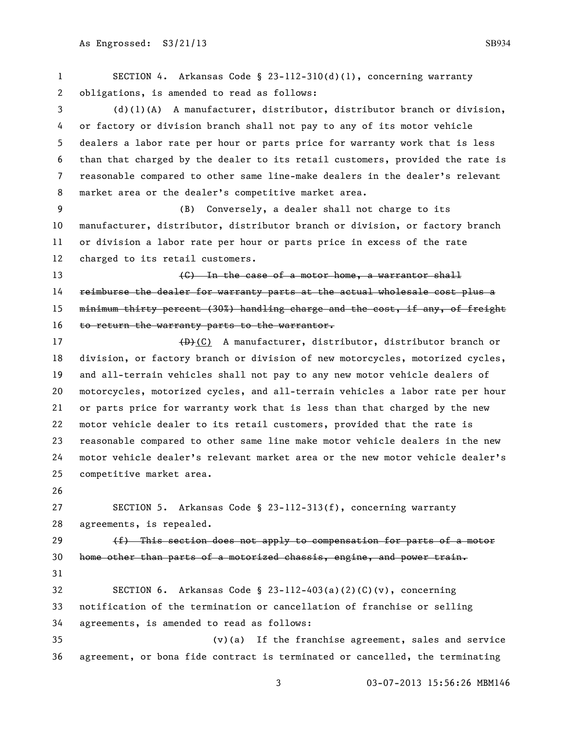SECTION 4. Arkansas Code § 23-112-310(d)(1), concerning warranty obligations, is amended to read as follows: (d)(1)(A) A manufacturer, distributor, distributor branch or division, or factory or division branch shall not pay to any of its motor vehicle dealers a labor rate per hour or parts price for warranty work that is less than that charged by the dealer to its retail customers, provided the rate is reasonable compared to other same line-make dealers in the dealer's relevant market area or the dealer's competitive market area. (B) Conversely, a dealer shall not charge to its manufacturer, distributor, distributor branch or division, or factory branch or division a labor rate per hour or parts price in excess of the rate charged to its retail customers. (C) In the case of a motor home, a warrantor shall reimburse the dealer for warranty parts at the actual wholesale cost plus a 15 minimum thirty percent (30%) handling charge and the cost, if any, of freight 16 to return the warranty parts to the warrantor. 17 (D)(C) A manufacturer, distributor, distributor branch or division, or factory branch or division of new motorcycles, motorized cycles, and all-terrain vehicles shall not pay to any new motor vehicle dealers of motorcycles, motorized cycles, and all-terrain vehicles a labor rate per hour or parts price for warranty work that is less than that charged by the new motor vehicle dealer to its retail customers, provided that the rate is reasonable compared to other same line make motor vehicle dealers in the new motor vehicle dealer's relevant market area or the new motor vehicle dealer's competitive market area. SECTION 5. Arkansas Code § 23-112-313(f), concerning warranty agreements, is repealed.  $(f)$  This section does not apply to compensation for parts of a motor home other than parts of a motorized chassis, engine, and power train. SECTION 6. Arkansas Code § 23-112-403(a)(2)(C)(v), concerning notification of the termination or cancellation of franchise or selling agreements, is amended to read as follows: (v)(a) If the franchise agreement, sales and service agreement, or bona fide contract is terminated or cancelled, the terminating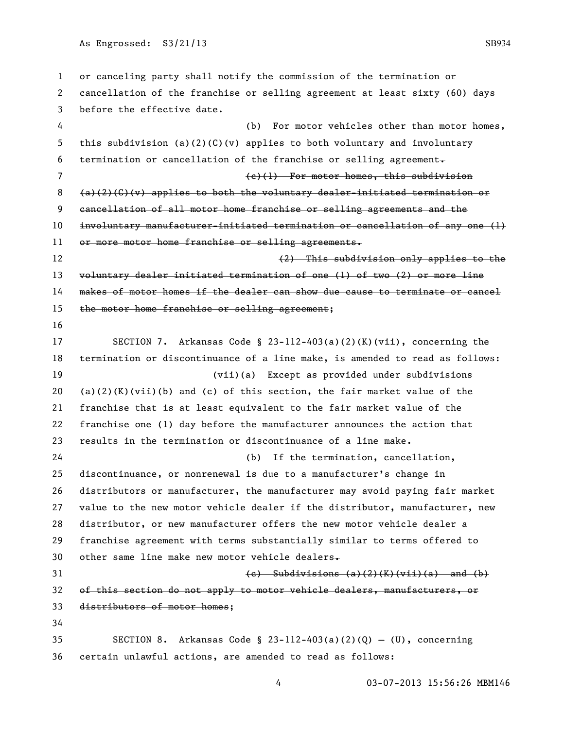or canceling party shall notify the commission of the termination or cancellation of the franchise or selling agreement at least sixty (60) days before the effective date. (b) For motor vehicles other than motor homes, this subdivision (a)(2)(C)(v) applies to both voluntary and involuntary termination or cancellation of the franchise or selling agreement. (c)(1) For motor homes, this subdivision  $(a)$ (2)(C)(v) applies to both the voluntary dealer-initiated termination or cancellation of all motor home franchise or selling agreements and the involuntary manufacturer-initiated termination or cancellation of any one (1) or more motor home franchise or selling agreements. (2) This subdivision only applies to the 13 voluntary dealer initiated termination of one (1) of two (2) or more line makes of motor homes if the dealer can show due cause to terminate or cancel 15 the motor home franchise or selling agreement; SECTION 7. Arkansas Code § 23-112-403(a)(2)(K)(vii), concerning the termination or discontinuance of a line make, is amended to read as follows: (vii)(a) Except as provided under subdivisions 20 (a)(2)(K)(vii)(b) and (c) of this section, the fair market value of the franchise that is at least equivalent to the fair market value of the franchise one (1) day before the manufacturer announces the action that results in the termination or discontinuance of a line make. (b) If the termination, cancellation, discontinuance, or nonrenewal is due to a manufacturer's change in distributors or manufacturer, the manufacturer may avoid paying fair market value to the new motor vehicle dealer if the distributor, manufacturer, new distributor, or new manufacturer offers the new motor vehicle dealer a franchise agreement with terms substantially similar to terms offered to 30 other same line make new motor vehicle dealers $\overline{\phantom{a}}$  $(e)$  Subdivisions  $(a)(2)(K)(vii)(a)$  and  $(b)$  of this section do not apply to motor vehicle dealers, manufacturers, or distributors of motor homes; 35 SECTION 8. Arkansas Code § 23-112-403(a)(2)(Q) - (U), concerning certain unlawful actions, are amended to read as follows: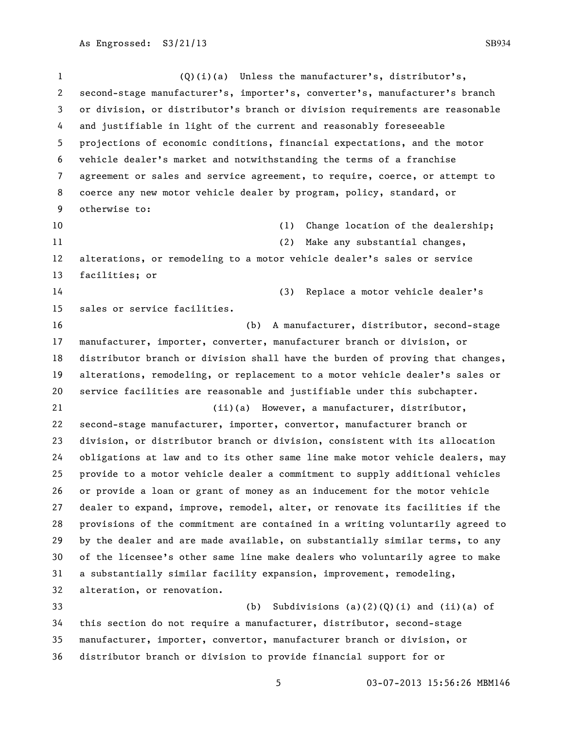otherwise to:

facilities; or

sales or service facilities.

 (Q)(i)(a) Unless the manufacturer's, distributor's, second-stage manufacturer's, importer's, converter's, manufacturer's branch or division, or distributor's branch or division requirements are reasonable and justifiable in light of the current and reasonably foreseeable projections of economic conditions, financial expectations, and the motor vehicle dealer's market and notwithstanding the terms of a franchise agreement or sales and service agreement, to require, coerce, or attempt to coerce any new motor vehicle dealer by program, policy, standard, or 10 (1) Change location of the dealership; 11 (2) Make any substantial changes, alterations, or remodeling to a motor vehicle dealer's sales or service (3) Replace a motor vehicle dealer's (b) A manufacturer, distributor, second-stage

 manufacturer, importer, converter, manufacturer branch or division, or distributor branch or division shall have the burden of proving that changes, alterations, remodeling, or replacement to a motor vehicle dealer's sales or service facilities are reasonable and justifiable under this subchapter. (ii)(a) However, a manufacturer, distributor,

 second-stage manufacturer, importer, convertor, manufacturer branch or division, or distributor branch or division, consistent with its allocation obligations at law and to its other same line make motor vehicle dealers, may provide to a motor vehicle dealer a commitment to supply additional vehicles or provide a loan or grant of money as an inducement for the motor vehicle dealer to expand, improve, remodel, alter, or renovate its facilities if the provisions of the commitment are contained in a writing voluntarily agreed to by the dealer and are made available, on substantially similar terms, to any of the licensee's other same line make dealers who voluntarily agree to make a substantially similar facility expansion, improvement, remodeling, alteration, or renovation.

 (b) Subdivisions (a)(2)(Q)(i) and (ii)(a) of this section do not require a manufacturer, distributor, second-stage manufacturer, importer, convertor, manufacturer branch or division, or distributor branch or division to provide financial support for or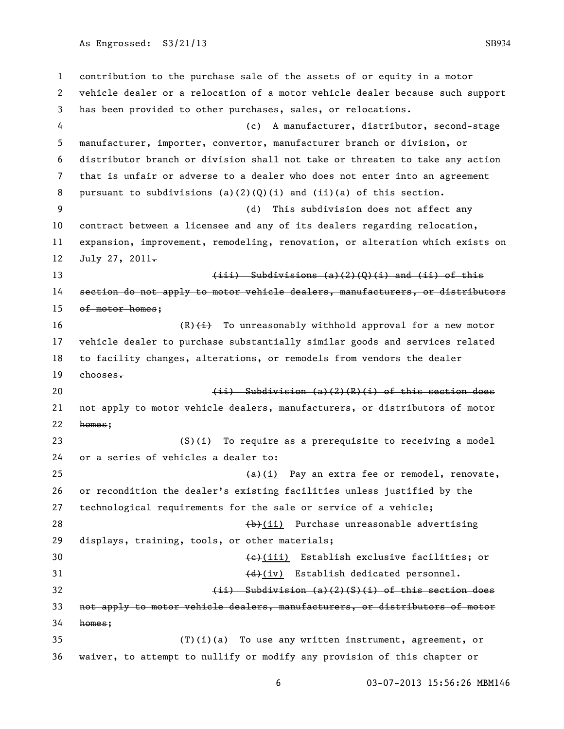contribution to the purchase sale of the assets of or equity in a motor vehicle dealer or a relocation of a motor vehicle dealer because such support has been provided to other purchases, sales, or relocations. (c) A manufacturer, distributor, second-stage manufacturer, importer, convertor, manufacturer branch or division, or distributor branch or division shall not take or threaten to take any action that is unfair or adverse to a dealer who does not enter into an agreement 8 pursuant to subdivisions (a)(2)(Q)(i) and (ii)(a) of this section. (d) This subdivision does not affect any contract between a licensee and any of its dealers regarding relocation, expansion, improvement, remodeling, renovation, or alteration which exists on 12 July 27, 2011- $\leftarrow$  (iii) Subdivisions (a)(2)(0)(i) and (ii) of this section do not apply to motor vehicle dealers, manufacturers, or distributors 15 of motor homes;  $(R)$   $\leftrightarrow$  To unreasonably withhold approval for a new motor vehicle dealer to purchase substantially similar goods and services related to facility changes, alterations, or remodels from vendors the dealer chooses $\div$ **(ii)** Subdivision (a)(2)(R)(i) of this section does not apply to motor vehicle dealers, manufacturers, or distributors of motor homes;  $(S)$   $\leftrightarrow$  To require as a prerequisite to receiving a model or a series of vehicles a dealer to:  $\left( \frac{a}{b} \right)$  Pay an extra fee or remodel, renovate, or recondition the dealer's existing facilities unless justified by the technological requirements for the sale or service of a vehicle; 28 (b)(ii) Purchase unreasonable advertising displays, training, tools, or other materials; 30 (e)(iii) Establish exclusive facilities; or 31 (d)(iv) Establish dedicated personnel. 32 (ii) Subdivision (a)(2)(S)(i) of this section does not apply to motor vehicle dealers, manufacturers, or distributors of motor homes; (T)(i)(a) To use any written instrument, agreement, or waiver, to attempt to nullify or modify any provision of this chapter or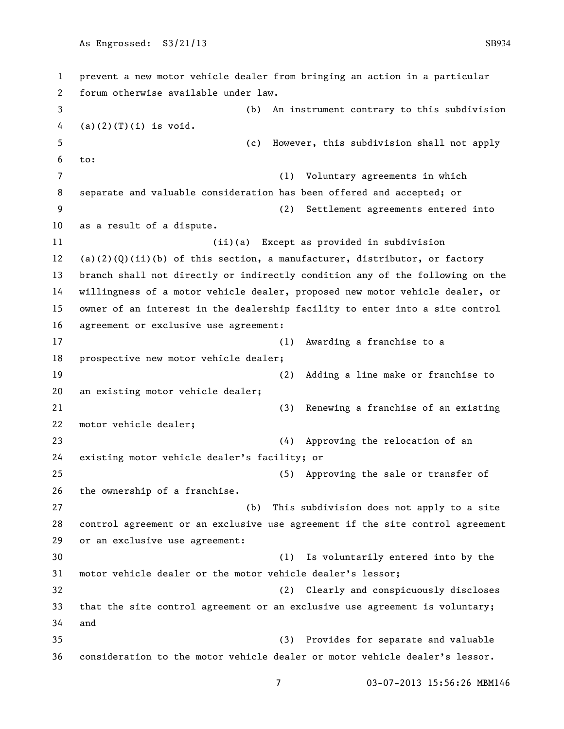prevent a new motor vehicle dealer from bringing an action in a particular forum otherwise available under law. (b) An instrument contrary to this subdivision 4 (a)(2)(T)(i) is void. (c) However, this subdivision shall not apply to: (1) Voluntary agreements in which separate and valuable consideration has been offered and accepted; or (2) Settlement agreements entered into as a result of a dispute. (ii)(a) Except as provided in subdivision (a)(2)(Q)(ii)(b) of this section, a manufacturer, distributor, or factory branch shall not directly or indirectly condition any of the following on the willingness of a motor vehicle dealer, proposed new motor vehicle dealer, or owner of an interest in the dealership facility to enter into a site control agreement or exclusive use agreement: (1) Awarding a franchise to a prospective new motor vehicle dealer; (2) Adding a line make or franchise to an existing motor vehicle dealer; (3) Renewing a franchise of an existing motor vehicle dealer; (4) Approving the relocation of an existing motor vehicle dealer's facility; or (5) Approving the sale or transfer of the ownership of a franchise. (b) This subdivision does not apply to a site control agreement or an exclusive use agreement if the site control agreement or an exclusive use agreement: (1) Is voluntarily entered into by the motor vehicle dealer or the motor vehicle dealer's lessor; (2) Clearly and conspicuously discloses that the site control agreement or an exclusive use agreement is voluntary; and (3) Provides for separate and valuable consideration to the motor vehicle dealer or motor vehicle dealer's lessor.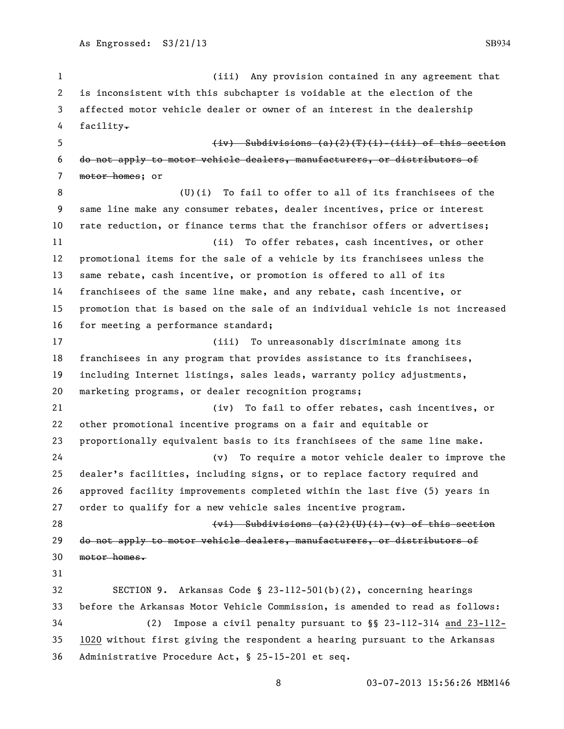(iii) Any provision contained in any agreement that is inconsistent with this subchapter is voidable at the election of the affected motor vehicle dealer or owner of an interest in the dealership 4 facility.  $\frac{1}{1}$  (iv) Subdivisions (a)(2)(T)(i)-(iii) of this section do not apply to motor vehicle dealers, manufacturers, or distributors of 7 motor homes; or (U)(i) To fail to offer to all of its franchisees of the same line make any consumer rebates, dealer incentives, price or interest rate reduction, or finance terms that the franchisor offers or advertises; (ii) To offer rebates, cash incentives, or other promotional items for the sale of a vehicle by its franchisees unless the same rebate, cash incentive, or promotion is offered to all of its franchisees of the same line make, and any rebate, cash incentive, or promotion that is based on the sale of an individual vehicle is not increased for meeting a performance standard; (iii) To unreasonably discriminate among its franchisees in any program that provides assistance to its franchisees, including Internet listings, sales leads, warranty policy adjustments, marketing programs, or dealer recognition programs; (iv) To fail to offer rebates, cash incentives, or other promotional incentive programs on a fair and equitable or proportionally equivalent basis to its franchisees of the same line make. (v) To require a motor vehicle dealer to improve the dealer's facilities, including signs, or to replace factory required and approved facility improvements completed within the last five (5) years in order to qualify for a new vehicle sales incentive program. 28 (vi) Subdivisions (a)(2)(U)(i)-(v) of this section 29 do not apply to motor vehicle dealers, manufacturers, or distributors of motor homes.

 SECTION 9. Arkansas Code § 23-112-501(b)(2), concerning hearings before the Arkansas Motor Vehicle Commission, is amended to read as follows: (2) Impose a civil penalty pursuant to §§ 23-112-314 and 23-112- 1020 without first giving the respondent a hearing pursuant to the Arkansas Administrative Procedure Act, § 25-15-201 et seq.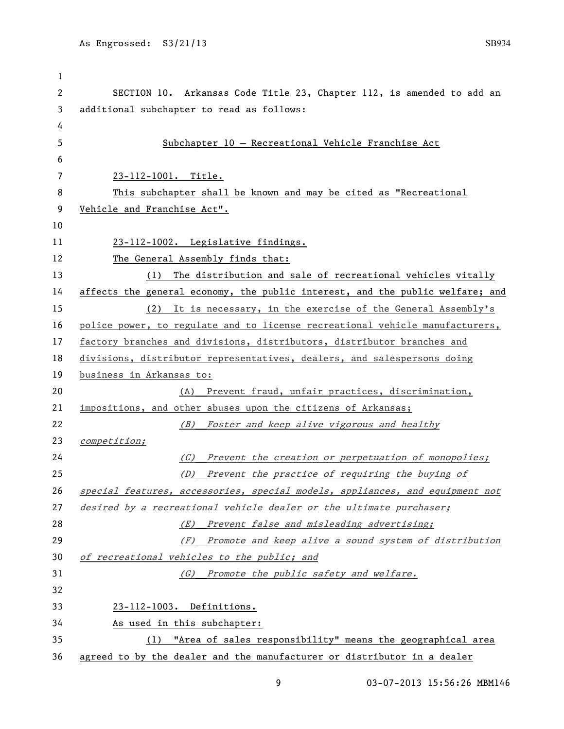SECTION 10. Arkansas Code Title 23, Chapter 112, is amended to add an additional subchapter to read as follows: 5 Subchapter 10 — Recreational Vehicle Franchise Act 23-112-1001. Title. This subchapter shall be known and may be cited as "Recreational Vehicle and Franchise Act". 23-112-1002. Legislative findings. 12 The General Assembly finds that: 13 (1) The distribution and sale of recreational vehicles vitally affects the general economy, the public interest, and the public welfare; and (2) It is necessary, in the exercise of the General Assembly's police power, to regulate and to license recreational vehicle manufacturers, 17 factory branches and divisions, distributors, distributor branches and divisions, distributor representatives, dealers, and salespersons doing business in Arkansas to: (A) Prevent fraud, unfair practices, discrimination, impositions, and other abuses upon the citizens of Arkansas; (B) Foster and keep alive vigorous and healthy competition; (C) Prevent the creation or perpetuation of monopolies; (D) Prevent the practice of requiring the buying of special features, accessories, special models, appliances, and equipment not 27 desired by a recreational vehicle dealer or the ultimate purchaser; 28 (E) Prevent false and misleading advertising; (F) Promote and keep alive a sound system of distribution of recreational vehicles to the public; and (G) Promote the public safety and welfare. 23-112-1003. Definitions. As used in this subchapter: (1) "Area of sales responsibility" means the geographical area agreed to by the dealer and the manufacturer or distributor in a dealer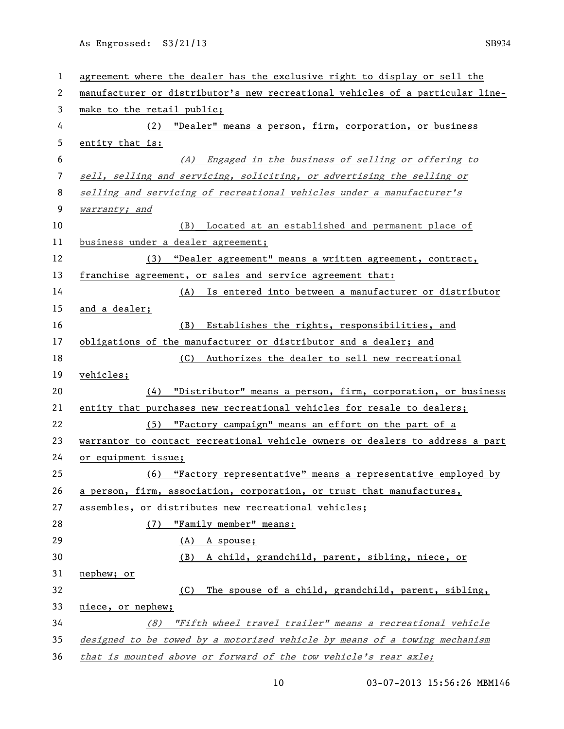| $\mathbf{1}$   | agreement where the dealer has the exclusive right to display or sell the     |
|----------------|-------------------------------------------------------------------------------|
| 2              | manufacturer or distributor's new recreational vehicles of a particular line- |
| 3              | make to the retail public;                                                    |
| 4              | (2) "Dealer" means a person, firm, corporation, or business                   |
| 5              | entity that is:                                                               |
| 6              | (A) Engaged in the business of selling or offering to                         |
| $\overline{7}$ | sell, selling and servicing, soliciting, or advertising the selling or        |
| 8              | selling and servicing of recreational vehicles under a manufacturer's         |
| 9              | warranty; and                                                                 |
| 10             | (B) Located at an established and permanent place of                          |
| 11             | business under a dealer agreement;                                            |
| 12             | (3) "Dealer agreement" means a written agreement, contract,                   |
| 13             | franchise agreement, or sales and service agreement that:                     |
| 14             | (A) Is entered into between a manufacturer or distributor                     |
| 15             | and a dealer;                                                                 |
| 16             | Establishes the rights, responsibilities, and<br>(B)                          |
| 17             | obligations of the manufacturer or distributor and a dealer; and              |
| 18             | (C) Authorizes the dealer to sell new recreational                            |
| 19             | vehicles;                                                                     |
| 20             | "Distributor" means a person, firm, corporation, or business<br>(4)           |
| 21             | entity that purchases new recreational vehicles for resale to dealers;        |
| 22             | (5) "Factory campaign" means an effort on the part of a                       |
| 23             | warrantor to contact recreational vehicle owners or dealers to address a part |
| 24             | or equipment issue;                                                           |
| 25             | (6) "Factory representative" means a representative employed by               |
| 26             | a person, firm, association, corporation, or trust that manufactures,         |
| 27             | assembles, or distributes new recreational vehicles;                          |
| 28             | "Family member" means:<br>(7)                                                 |
| 29             | (A) A spouse;                                                                 |
| 30             | (B) A child, grandchild, parent, sibling, niece, or                           |
| 31             | nephew; or                                                                    |
| 32             | The spouse of a child, grandchild, parent, sibling,<br>(C)                    |
| 33             | niece, or nephew;                                                             |
| 34             | (8) "Fifth wheel travel trailer" means a recreational vehicle                 |
| 35             | designed to be towed by a motorized vehicle by means of a towing mechanism    |
| 36             | that is mounted above or forward of the tow vehicle's rear axle;              |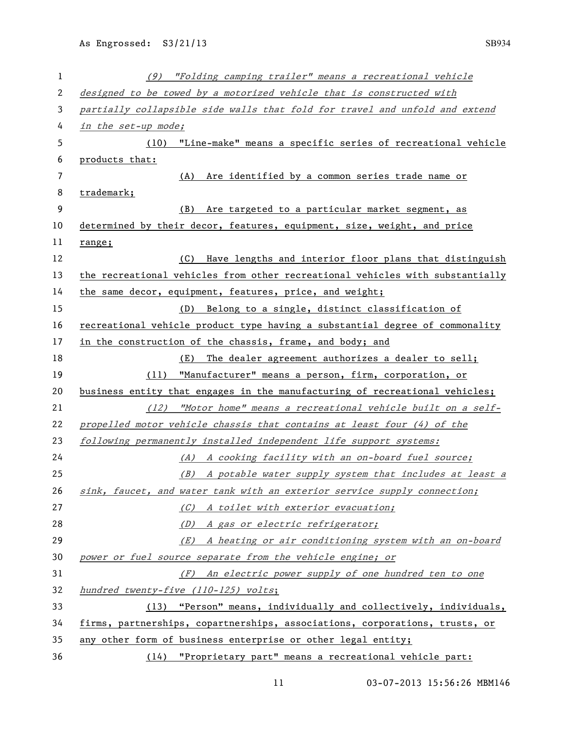| $\mathbf 1$ | (9) "Folding camping trailer" means a recreational vehicle                    |
|-------------|-------------------------------------------------------------------------------|
| 2           | designed to be towed by a motorized vehicle that is constructed with          |
| 3           | partially collapsible side walls that fold for travel and unfold and extend   |
| 4           | in the set-up mode;                                                           |
| 5           | "Line-make" means a specific series of recreational vehicle<br>(10)           |
| 6           | products that:                                                                |
| 7           | Are identified by a common series trade name or<br>(A)                        |
| 8           | trademark;                                                                    |
| 9           | (B)<br>Are targeted to a particular market segment, as                        |
| 10          | determined by their decor, features, equipment, size, weight, and price       |
| 11          | range;                                                                        |
| 12          | Have lengths and interior floor plans that distinguish<br>(C)                 |
| 13          | the recreational vehicles from other recreational vehicles with substantially |
| 14          | the same decor, equipment, features, price, and weight;                       |
| 15          | (D) Belong to a single, distinct classification of                            |
| 16          | recreational vehicle product type having a substantial degree of commonality  |
| 17          | in the construction of the chassis, frame, and body; and                      |
| 18          | The dealer agreement authorizes a dealer to sell;<br>(E)                      |
| 19          | (11) "Manufacturer" means a person, firm, corporation, or                     |
| 20          | business entity that engages in the manufacturing of recreational vehicles;   |
| 21          | $(12)$ "Motor home" means a recreational vehicle built on a self-             |
| 22          | propelled motor vehicle chassis that contains at least four (4) of the        |
| 23          | following permanently installed independent life support systems:             |
| 24          | (A) A cooking facility with an on-board fuel source;                          |
| 25          | (B) A potable water supply system that includes at least a                    |
| 26          | sink, faucet, and water tank with an exterior service supply connection;      |
| 27          | (C) A toilet with exterior evacuation;                                        |
| 28          | (D) A gas or electric refrigerator;                                           |
| 29          | (E) A heating or air conditioning system with an on-board                     |
| 30          | power or fuel source separate from the vehicle engine; or                     |
| 31          | (F) An electric power supply of one hundred ten to one                        |
| 32          | hundred twenty-five (110-125) volts;                                          |
| 33          | (13) "Person" means, individually and collectively, individuals,              |
| 34          | firms, partnerships, copartnerships, associations, corporations, trusts, or   |
| 35          | any other form of business enterprise or other legal entity;                  |
| 36          | (14) "Proprietary part" means a recreational vehicle part:                    |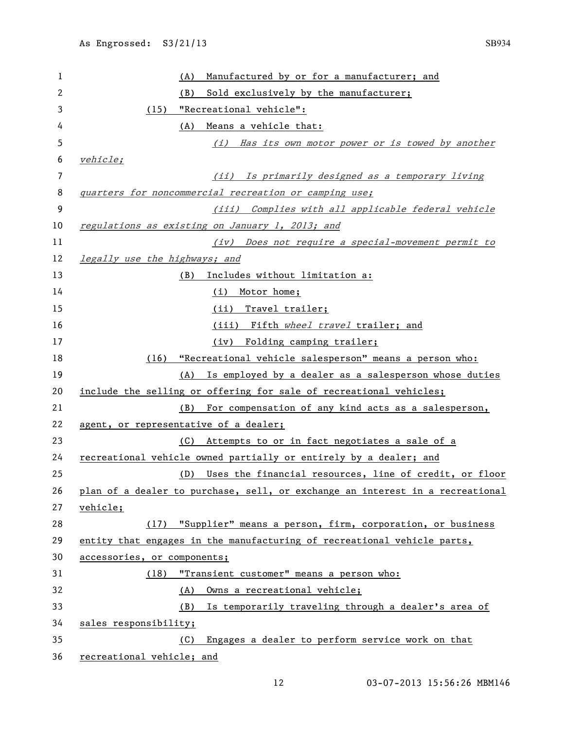| 1  | Manufactured by or for a manufacturer; and<br>(A)                             |
|----|-------------------------------------------------------------------------------|
| 2  | Sold exclusively by the manufacturer;<br>(B)                                  |
| 3  | (15) "Recreational vehicle":                                                  |
| 4  | (A)<br>Means a vehicle that:                                                  |
| 5  | (i) Has its own motor power or is towed by another                            |
| 6  | <i>vehicle;</i>                                                               |
| 7  | Is primarily designed as a temporary living<br>(iij)                          |
| 8  | quarters for noncommercial recreation or camping use;                         |
| 9  | (iii) Complies with all applicable federal vehicle                            |
| 10 | regulations as existing on January 1, 2013; and                               |
| 11 | (iv) Does not require a special-movement permit to                            |
| 12 | legally use the highways; and                                                 |
| 13 | (B) Includes without limitation a:                                            |
| 14 | (i) Motor home;                                                               |
| 15 | (ii) Travel trailer;                                                          |
| 16 | (iii) Fifth wheel travel trailer; and                                         |
| 17 | (iv) Folding camping trailer;                                                 |
| 18 | (16) "Recreational vehicle salesperson" means a person who:                   |
| 19 | (A) Is employed by a dealer as a salesperson whose duties                     |
| 20 | include the selling or offering for sale of recreational vehicles;            |
| 21 | For compensation of any kind acts as a salesperson,<br>(B)                    |
| 22 | agent, or representative of a dealer;                                         |
| 23 | (C) Attempts to or in fact negotiates a sale of a                             |
| 24 | recreational vehicle owned partially or entirely by a dealer; and             |
| 25 | Uses the financial resources, line of credit, or floor<br>(D)                 |
| 26 | plan of a dealer to purchase, sell, or exchange an interest in a recreational |
| 27 | <u>vehicle;</u>                                                               |
| 28 | (17) "Supplier" means a person, firm, corporation, or business                |
| 29 | entity that engages in the manufacturing of recreational vehicle parts,       |
| 30 | accessories, or components;                                                   |
| 31 | "Transient customer" means a person who:<br>(18)                              |
| 32 | (A) Owns a recreational vehicle;                                              |
| 33 | Is temporarily traveling through a dealer's area of<br>(B)                    |
| 34 | sales responsibility;                                                         |
| 35 | (C) Engages a dealer to perform service work on that                          |
| 36 | recreational vehicle; and                                                     |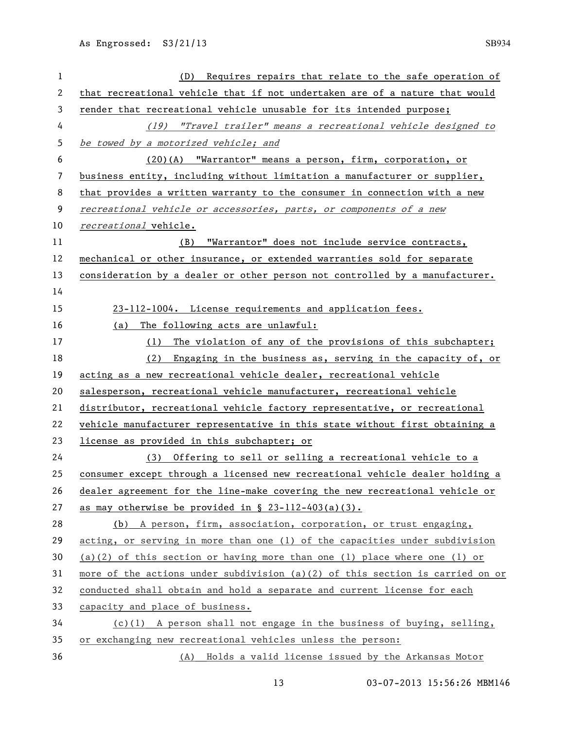| $\mathbf 1$ | (D) Requires repairs that relate to the safe operation of                     |
|-------------|-------------------------------------------------------------------------------|
| 2           | that recreational vehicle that if not undertaken are of a nature that would   |
| 3           | render that recreational vehicle unusable for its intended purpose;           |
| 4           | (19) "Travel trailer" means a recreational vehicle designed to                |
| 5           | be towed by a motorized vehicle; and                                          |
| 6           | (20)(A) "Warrantor" means a person, firm, corporation, or                     |
| 7           | business entity, including without limitation a manufacturer or supplier,     |
| 8           | that provides a written warranty to the consumer in connection with a new     |
| 9           | recreational vehicle or accessories, parts, or components of a new            |
| 10          | recreational vehicle.                                                         |
| 11          | "Warrantor" does not include service contracts,<br>(B)                        |
| 12          | mechanical or other insurance, or extended warranties sold for separate       |
| 13          | consideration by a dealer or other person not controlled by a manufacturer.   |
| 14          |                                                                               |
| 15          | 23-112-1004. License requirements and application fees.                       |
| 16          | The following acts are unlawful:<br>(a)                                       |
| 17          | The violation of any of the provisions of this subchapter;<br>(1)             |
| 18          | Engaging in the business as, serving in the capacity of, or<br>(2)            |
| 19          | acting as a new recreational vehicle dealer, recreational vehicle             |
| 20          | salesperson, recreational vehicle manufacturer, recreational vehicle          |
| 21          | distributor, recreational vehicle factory representative, or recreational     |
| 22          | vehicle manufacturer representative in this state without first obtaining a   |
| 23          | license as provided in this subchapter; or                                    |
| 24          | (3) Offering to sell or selling a recreational vehicle to a                   |
| 25          | consumer except through a licensed new recreational vehicle dealer holding a  |
| 26          | dealer agreement for the line-make covering the new recreational vehicle or   |
| 27          | as may otherwise be provided in $\S$ 23-112-403(a)(3).                        |
| 28          | (b) A person, firm, association, corporation, or trust engaging,              |
| 29          | acting, or serving in more than one (1) of the capacities under subdivision   |
| 30          | (a)(2) of this section or having more than one (1) place where one (1) or     |
| 31          | more of the actions under subdivision (a)(2) of this section is carried on or |
| 32          | conducted shall obtain and hold a separate and current license for each       |
| 33          | capacity and place of business.                                               |
| 34          | $(c)(1)$ A person shall not engage in the business of buying, selling,        |
| 35          | or exchanging new recreational vehicles unless the person:                    |
| 36          | (A) Holds a valid license issued by the Arkansas Motor                        |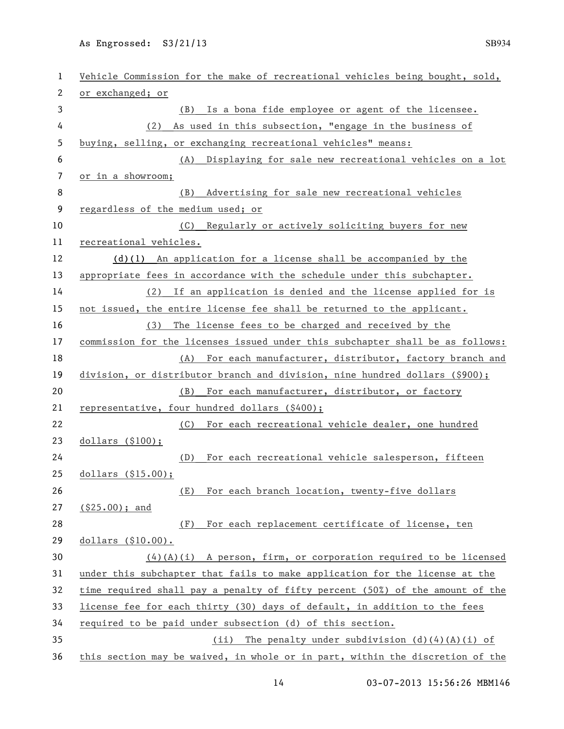| $\mathbf{1}$   | Vehicle Commission for the make of recreational vehicles being bought, sold,  |
|----------------|-------------------------------------------------------------------------------|
| 2              | or exchanged; or                                                              |
| 3              | Is a bona fide employee or agent of the licensee.<br>(B)                      |
| 4              | As used in this subsection, "engage in the business of<br>(2)                 |
| 5              | buying, selling, or exchanging recreational vehicles" means:                  |
| 6              | Displaying for sale new recreational vehicles on a lot<br>(A)                 |
| $\overline{7}$ | or in a showroom;                                                             |
| 8              | Advertising for sale new recreational vehicles<br>(B)                         |
| 9              | regardless of the medium used; or                                             |
| 10             | (C) Regularly or actively soliciting buyers for new                           |
| 11             | recreational vehicles.                                                        |
| 12             | $(d)(1)$ An application for a license shall be accompanied by the             |
| 13             | appropriate fees in accordance with the schedule under this subchapter.       |
| 14             | (2) If an application is denied and the license applied for is                |
| 15             | not issued, the entire license fee shall be returned to the applicant.        |
| 16             | (3) The license fees to be charged and received by the                        |
| 17             | commission for the licenses issued under this subchapter shall be as follows: |
| 18             | (A) For each manufacturer, distributor, factory branch and                    |
| 19             | division, or distributor branch and division, nine hundred dollars (\$900);   |
| 20             | For each manufacturer, distributor, or factory<br>(B)                         |
| 21             | representative, four hundred dollars (\$400);                                 |
| 22             | For each recreational vehicle dealer, one hundred<br>(C)                      |
| 23             | dollars (\$100);                                                              |
| 24             | For each recreational vehicle salesperson, fifteen<br>(D)                     |
| 25             | dollars $($15.00);$                                                           |
| 26             | For each branch location, twenty-five dollars<br>(E)                          |
| 27             | $(§25.00);$ and                                                               |
| 28             | For each replacement certificate of license, ten<br>(F)                       |
| 29             | dollars (\$10.00).                                                            |
| 30             | $(4)(A)(i)$ A person, firm, or corporation required to be licensed            |
| 31             | under this subchapter that fails to make application for the license at the   |
| 32             | time required shall pay a penalty of fifty percent (50%) of the amount of the |
| 33             | license fee for each thirty (30) days of default, in addition to the fees     |
| 34             | required to be paid under subsection (d) of this section.                     |
| 35             | (ii) The penalty under subdivision $(d)$ $(4)$ $(A)$ $(i)$ of                 |
| 36             | this section may be waived, in whole or in part, within the discretion of the |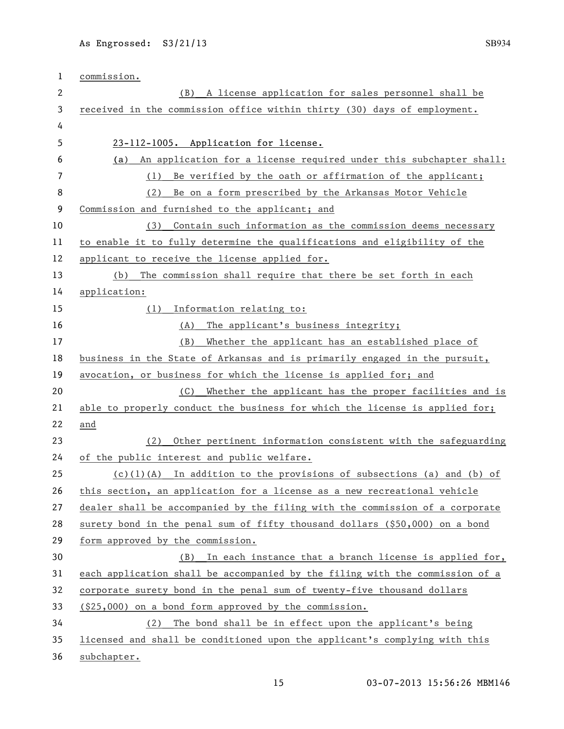| 1            | commission.                                                                  |
|--------------|------------------------------------------------------------------------------|
| $\mathbf{2}$ | (B) A license application for sales personnel shall be                       |
| 3            | received in the commission office within thirty (30) days of employment.     |
| 4            |                                                                              |
| 5            | 23-112-1005. Application for license.                                        |
| 6            | An application for a license required under this subchapter shall:<br>(a)    |
| 7            | Be verified by the oath or affirmation of the applicant;<br>(1)              |
| 8            | Be on a form prescribed by the Arkansas Motor Vehicle<br>(2)                 |
| 9            | Commission and furnished to the applicant; and                               |
| 10           | Contain such information as the commission deems necessary<br>(3)            |
| 11           | to enable it to fully determine the qualifications and eligibility of the    |
| 12           | applicant to receive the license applied for.                                |
| 13           | The commission shall require that there be set forth in each<br>(b)          |
| 14           | application:                                                                 |
| 15           | Information relating to:<br>(1)                                              |
| 16           | (A) The applicant's business integrity;                                      |
| 17           | Whether the applicant has an established place of<br>(B)                     |
| 18           | business in the State of Arkansas and is primarily engaged in the pursuit,   |
| 19           | avocation, or business for which the license is applied for; and             |
| 20           | (C) Whether the applicant has the proper facilities and is                   |
| 21           | able to properly conduct the business for which the license is applied for;  |
| 22           | and                                                                          |
| 23           | Other pertinent information consistent with the safeguarding<br>(2)          |
| 24           | of the public interest and public welfare.                                   |
| 25           | $(c)(1)(A)$ In addition to the provisions of subsections (a) and (b) of      |
| 26           | this section, an application for a license as a new recreational vehicle     |
| 27           | dealer shall be accompanied by the filing with the commission of a corporate |
| 28           | surety bond in the penal sum of fifty thousand dollars (\$50,000) on a bond  |
| 29           | form approved by the commission.                                             |
| 30           | (B) In each instance that a branch license is applied for,                   |
| 31           | each application shall be accompanied by the filing with the commission of a |
| 32           | corporate surety bond in the penal sum of twenty-five thousand dollars       |
| 33           | $(25,000)$ on a bond form approved by the commission.                        |
| 34           | (2)<br>The bond shall be in effect upon the applicant's being                |
| 35           | licensed and shall be conditioned upon the applicant's complying with this   |
| 36           | subchapter.                                                                  |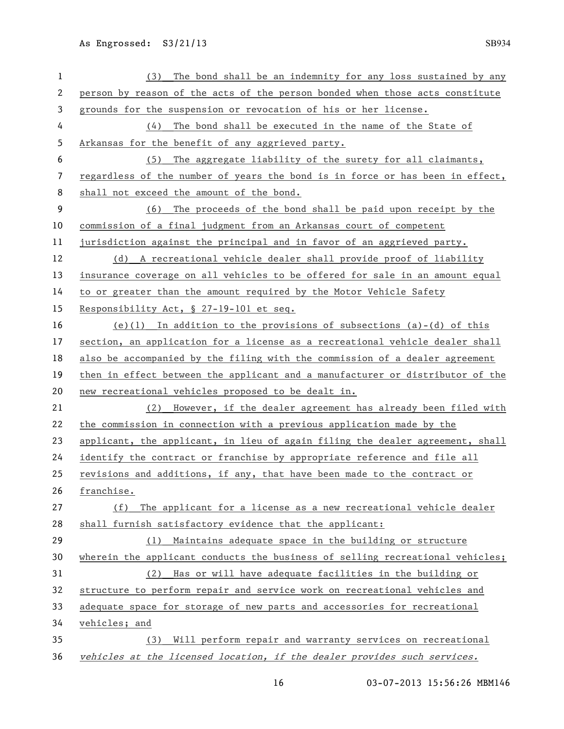(3) The bond shall be an indemnity for any loss sustained by any person by reason of the acts of the person bonded when those acts constitute grounds for the suspension or revocation of his or her license. (4) The bond shall be executed in the name of the State of Arkansas for the benefit of any aggrieved party. (5) The aggregate liability of the surety for all claimants, regardless of the number of years the bond is in force or has been in effect, shall not exceed the amount of the bond. (6) The proceeds of the bond shall be paid upon receipt by the commission of a final judgment from an Arkansas court of competent jurisdiction against the principal and in favor of an aggrieved party. (d) A recreational vehicle dealer shall provide proof of liability insurance coverage on all vehicles to be offered for sale in an amount equal to or greater than the amount required by the Motor Vehicle Safety Responsibility Act, § 27-19-101 et seq. (e)(1) In addition to the provisions of subsections (a)-(d) of this section, an application for a license as a recreational vehicle dealer shall also be accompanied by the filing with the commission of a dealer agreement then in effect between the applicant and a manufacturer or distributor of the new recreational vehicles proposed to be dealt in. (2) However, if the dealer agreement has already been filed with the commission in connection with a previous application made by the applicant, the applicant, in lieu of again filing the dealer agreement, shall identify the contract or franchise by appropriate reference and file all revisions and additions, if any, that have been made to the contract or franchise. (f) The applicant for a license as a new recreational vehicle dealer shall furnish satisfactory evidence that the applicant: (1) Maintains adequate space in the building or structure wherein the applicant conducts the business of selling recreational vehicles; (2) Has or will have adequate facilities in the building or structure to perform repair and service work on recreational vehicles and adequate space for storage of new parts and accessories for recreational vehicles; and (3) Will perform repair and warranty services on recreational vehicles at the licensed location, if the dealer provides such services.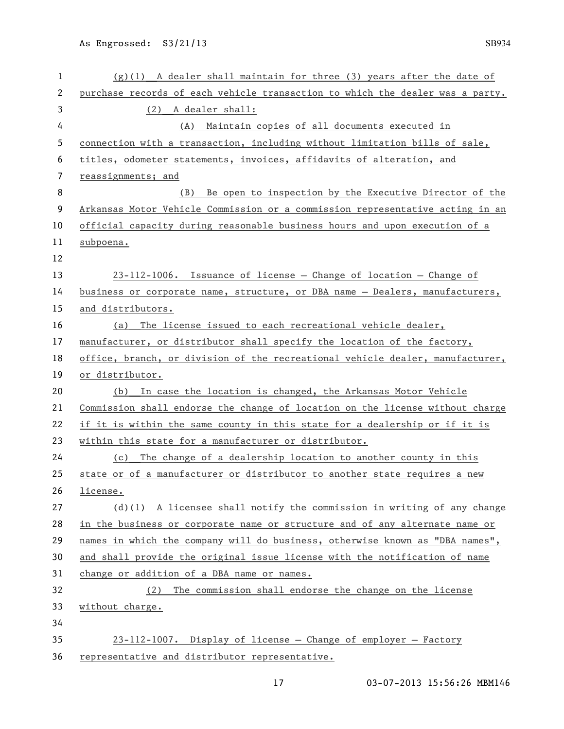| 1  | $(g)(1)$ A dealer shall maintain for three (3) years after the date of        |
|----|-------------------------------------------------------------------------------|
| 2  | purchase records of each vehicle transaction to which the dealer was a party. |
| 3  | (2) A dealer shall:                                                           |
| 4  | Maintain copies of all documents executed in<br>(A)                           |
| 5  | connection with a transaction, including without limitation bills of sale,    |
| 6  | titles, odometer statements, invoices, affidavits of alteration, and          |
| 7  | reassignments; and                                                            |
| 8  | Be open to inspection by the Executive Director of the<br>(B)                 |
| 9  | Arkansas Motor Vehicle Commission or a commission representative acting in an |
| 10 | official capacity during reasonable business hours and upon execution of a    |
| 11 | subpoena.                                                                     |
| 12 |                                                                               |
| 13 | $23-112-1006$ . Issuance of license – Change of location – Change of          |
| 14 | business or corporate name, structure, or DBA name - Dealers, manufacturers,  |
| 15 | and distributors.                                                             |
| 16 | (a) The license issued to each recreational vehicle dealer,                   |
| 17 | manufacturer, or distributor shall specify the location of the factory,       |
| 18 | office, branch, or division of the recreational vehicle dealer, manufacturer, |
| 19 | or distributor.                                                               |
| 20 | In case the location is changed, the Arkansas Motor Vehicle<br>(b)            |
| 21 | Commission shall endorse the change of location on the license without charge |
| 22 | if it is within the same county in this state for a dealership or if it is    |
| 23 | within this state for a manufacturer or distributor.                          |
| 24 | (c) The change of a dealership location to another county in this             |
| 25 | state or of a manufacturer or distributor to another state requires a new     |
| 26 | license.                                                                      |
| 27 | $(d)(1)$ A licensee shall notify the commission in writing of any change      |
| 28 | in the business or corporate name or structure and of any alternate name or   |
| 29 | names in which the company will do business, otherwise known as "DBA names",  |
| 30 | and shall provide the original issue license with the notification of name    |
| 31 | change or addition of a DBA name or names.                                    |
| 32 | The commission shall endorse the change on the license<br>(2)                 |
| 33 | without charge.                                                               |
| 34 |                                                                               |
| 35 | 23-112-1007. Display of license - Change of employer - Factory                |
| 36 | representative and distributor representative.                                |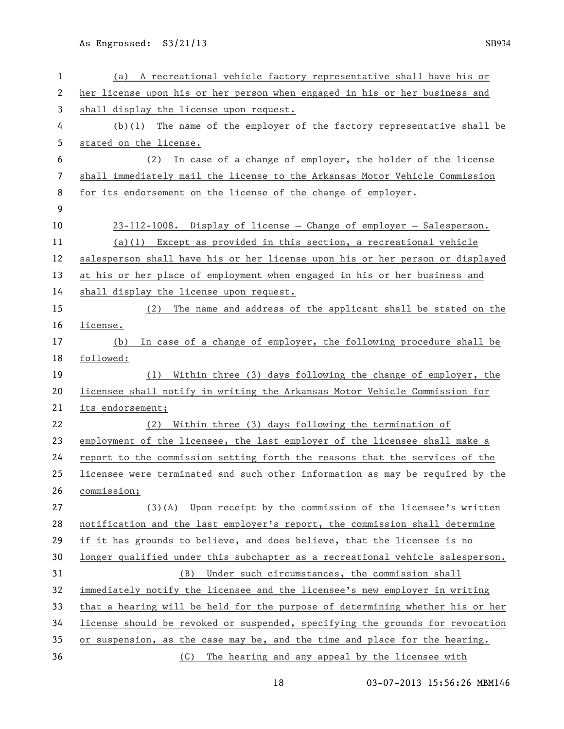| 1        | (a) A recreational vehicle factory representative shall have his or                                                           |
|----------|-------------------------------------------------------------------------------------------------------------------------------|
| 2        | her license upon his or her person when engaged in his or her business and                                                    |
| 3        | shall display the license upon request.                                                                                       |
| 4        | $(b)(1)$ The name of the employer of the factory representative shall be                                                      |
| 5        | stated on the license.                                                                                                        |
| 6        | In case of a change of employer, the holder of the license<br>(2)                                                             |
| 7        | shall immediately mail the license to the Arkansas Motor Vehicle Commission                                                   |
| 8        | for its endorsement on the license of the change of employer.                                                                 |
| 9        |                                                                                                                               |
| 10       | 23-112-1008. Display of license - Change of employer - Salesperson.                                                           |
| 11       | $(a)(1)$ Except as provided in this section, a recreational vehicle                                                           |
| 12       | salesperson shall have his or her license upon his or her person or displayed                                                 |
| 13       | at his or her place of employment when engaged in his or her business and                                                     |
| 14       | shall display the license upon request.                                                                                       |
| 15       | The name and address of the applicant shall be stated on the<br>(2)                                                           |
| 16       | license.                                                                                                                      |
| 17       | In case of a change of employer, the following procedure shall be<br>(b)                                                      |
| 18       | followed:                                                                                                                     |
| 19       | Within three (3) days following the change of employer, the<br>(1)                                                            |
| 20       | licensee shall notify in writing the Arkansas Motor Vehicle Commission for                                                    |
| 21       | its endorsement;                                                                                                              |
| 22       | Within three (3) days following the termination of<br>(2)                                                                     |
| 23       | employment of the licensee, the last employer of the licensee shall make a                                                    |
| 24       | report to the commission setting forth the reasons that the services of the                                                   |
| 25       | licensee were terminated and such other information as may be required by the                                                 |
| 26       | commission;                                                                                                                   |
| 27       | (3)(A) Upon receipt by the commission of the licensee's written                                                               |
| 28       | notification and the last employer's report, the commission shall determine                                                   |
| 29       | if it has grounds to believe, and does believe, that the licensee is no                                                       |
| 30       | longer qualified under this subchapter as a recreational vehicle salesperson.                                                 |
| 31       | Under such circumstances, the commission shall<br>(B)                                                                         |
| 32       | immediately notify the licensee and the licensee's new employer in writing                                                    |
| 33       | that a hearing will be held for the purpose of determining whether his or her                                                 |
| 34       |                                                                                                                               |
|          | license should be revoked or suspended, specifying the grounds for revocation                                                 |
| 35<br>36 | or suspension, as the case may be, and the time and place for the hearing.<br>The hearing and any appeal by the licensee with |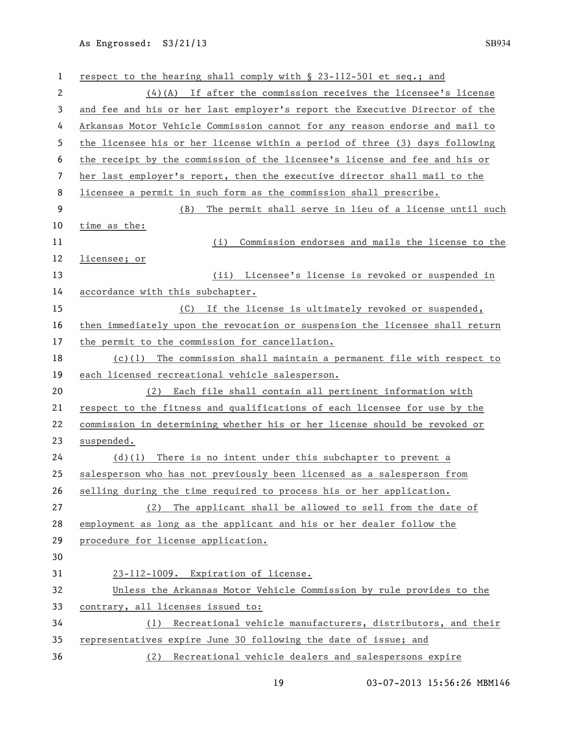| 1  | respect to the hearing shall comply with § 23-112-501 et seq.; and           |
|----|------------------------------------------------------------------------------|
| 2  | $(4)(A)$ If after the commission receives the licensee's license             |
| 3  | and fee and his or her last employer's report the Executive Director of the  |
| 4  | Arkansas Motor Vehicle Commission cannot for any reason endorse and mail to  |
| 5  | the licensee his or her license within a period of three (3) days following  |
| 6  | the receipt by the commission of the licensee's license and fee and his or   |
| 7  | her last employer's report, then the executive director shall mail to the    |
| 8  | licensee a permit in such form as the commission shall prescribe.            |
| 9  | The permit shall serve in lieu of a license until such<br>(B)                |
| 10 | time as the:                                                                 |
| 11 | Commission endorses and mails the license to the<br>(i)                      |
| 12 | licensee; or                                                                 |
| 13 | (ii) Licensee's license is revoked or suspended in                           |
| 14 | accordance with this subchapter.                                             |
| 15 | (C) If the license is ultimately revoked or suspended,                       |
| 16 | then immediately upon the revocation or suspension the licensee shall return |
| 17 | the permit to the commission for cancellation.                               |
| 18 | $(c)(1)$ The commission shall maintain a permanent file with respect to      |
| 19 | each licensed recreational vehicle salesperson.                              |
| 20 | (2) Each file shall contain all pertinent information with                   |
| 21 | respect to the fitness and qualifications of each licensee for use by the    |
| 22 | commission in determining whether his or her license should be revoked or    |
| 23 | suspended.                                                                   |
| 24 | $(d)(1)$ There is no intent under this subchapter to prevent a               |
| 25 | salesperson who has not previously been licensed as a salesperson from       |
| 26 | selling during the time required to process his or her application.          |
| 27 | The applicant shall be allowed to sell from the date of<br>(2)               |
| 28 | employment as long as the applicant and his or her dealer follow the         |
| 29 | procedure for license application.                                           |
| 30 |                                                                              |
| 31 | 23-112-1009. Expiration of license.                                          |
| 32 | Unless the Arkansas Motor Vehicle Commission by rule provides to the         |
| 33 | contrary, all licenses issued to:                                            |
| 34 | (1) Recreational vehicle manufacturers, distributors, and their              |
| 35 | representatives expire June 30 following the date of issue; and              |
| 36 | (2) Recreational vehicle dealers and salespersons expire                     |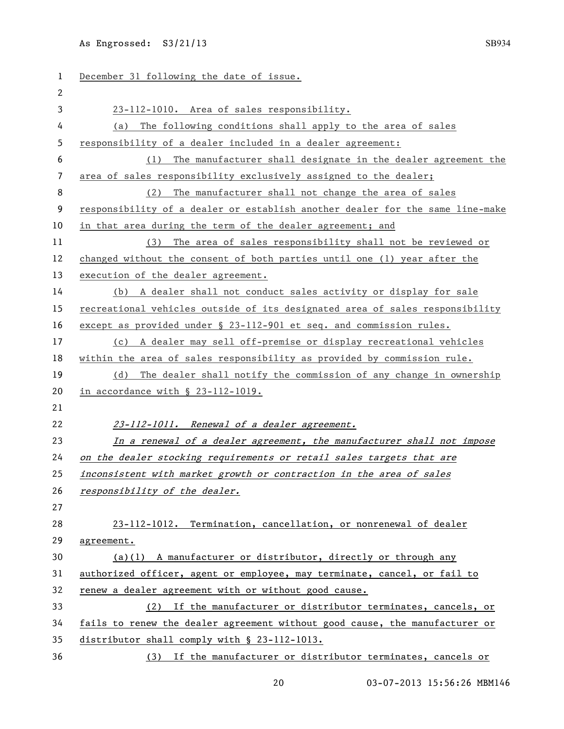| 1            | December 31 following the date of issue.                                      |
|--------------|-------------------------------------------------------------------------------|
| $\mathbf{2}$ |                                                                               |
| 3            | 23-112-1010. Area of sales responsibility.                                    |
| 4            | The following conditions shall apply to the area of sales<br>(a)              |
| 5            | responsibility of a dealer included in a dealer agreement:                    |
| 6            | The manufacturer shall designate in the dealer agreement the<br>(1)           |
| 7            | area of sales responsibility exclusively assigned to the dealer;              |
| 8            | (2) The manufacturer shall not change the area of sales                       |
| 9            | responsibility of a dealer or establish another dealer for the same line-make |
| 10           | in that area during the term of the dealer agreement; and                     |
| 11           | The area of sales responsibility shall not be reviewed or<br>(3)              |
| 12           | changed without the consent of both parties until one (1) year after the      |
| 13           | execution of the dealer agreement.                                            |
| 14           | (b) A dealer shall not conduct sales activity or display for sale             |
| 15           | recreational vehicles outside of its designated area of sales responsibility  |
| 16           | except as provided under § 23-112-901 et seq. and commission rules.           |
| 17           | (c) A dealer may sell off-premise or display recreational vehicles            |
| 18           | within the area of sales responsibility as provided by commission rule.       |
| 19           | The dealer shall notify the commission of any change in ownership<br>(d)      |
| 20           | in accordance with § 23-112-1019.                                             |
| 21           |                                                                               |
| 22           | 23-112-1011. Renewal of a dealer agreement.                                   |
| 23           | In a renewal of a dealer agreement, the manufacturer shall not impose         |
| 24           | on the dealer stocking requirements or retail sales targets that are          |
| 25           | inconsistent with market growth or contraction in the area of sales           |
| 26           | responsibility of the dealer.                                                 |
| 27           |                                                                               |
| 28           | 23-112-1012. Termination, cancellation, or nonrenewal of dealer               |
| 29           | agreement.                                                                    |
| 30           | $(a)(1)$ A manufacturer or distributor, directly or through any               |
| 31           | authorized officer, agent or employee, may terminate, cancel, or fail to      |
| 32           | renew a dealer agreement with or without good cause.                          |
| 33           | (2) If the manufacturer or distributor terminates, cancels, or                |
| 34           | fails to renew the dealer agreement without good cause, the manufacturer or   |
| 35           | distributor shall comply with § 23-112-1013.                                  |
| 36           | (3) If the manufacturer or distributor terminates, cancels or                 |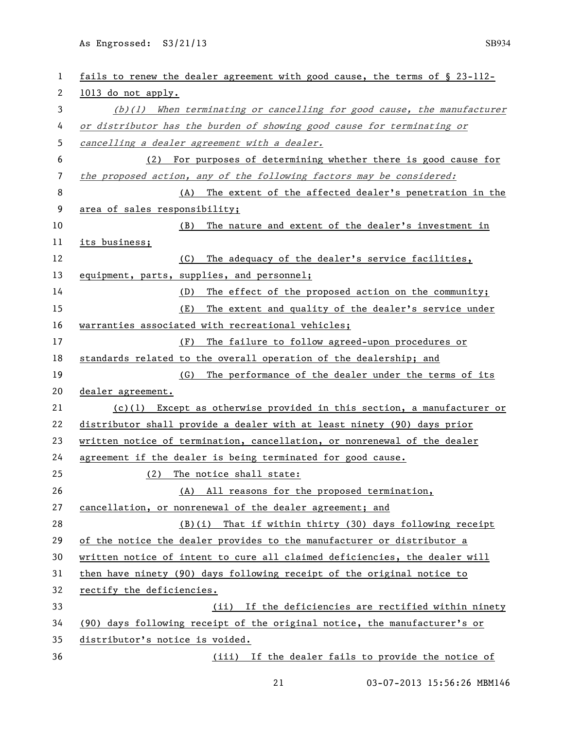| 1            | fails to renew the dealer agreement with good cause, the terms of § 23-112- |
|--------------|-----------------------------------------------------------------------------|
| $\mathbf{2}$ | 1013 do not apply.                                                          |
| 3            | $(b)(1)$ When terminating or cancelling for good cause, the manufacturer    |
| 4            | or distributor has the burden of showing good cause for terminating or      |
| 5            | cancelling a dealer agreement with a dealer.                                |
| 6            | (2) For purposes of determining whether there is good cause for             |
| 7            | the proposed action, any of the following factors may be considered:        |
| 8            | (A) The extent of the affected dealer's penetration in the                  |
| 9            | area of sales responsibility;                                               |
| 10           | The nature and extent of the dealer's investment in<br>(B)                  |
| 11           | its business;                                                               |
| 12           | The adequacy of the dealer's service facilities,<br>(C)                     |
| 13           | equipment, parts, supplies, and personnel;                                  |
| 14           | The effect of the proposed action on the community;<br>(D)                  |
| 15           | The extent and quality of the dealer's service under<br>(E)                 |
| 16           | warranties associated with recreational vehicles;                           |
| 17           | The failure to follow agreed-upon procedures or<br>(F)                      |
| 18           | standards related to the overall operation of the dealership; and           |
| 19           | The performance of the dealer under the terms of its<br>(G)                 |
| 20           | dealer agreement.                                                           |
| 21           | $(c)(1)$ Except as otherwise provided in this section, a manufacturer or    |
| 22           | distributor shall provide a dealer with at least ninety (90) days prior     |
| 23           | written notice of termination, cancellation, or nonrenewal of the dealer    |
| 24           | agreement if the dealer is being terminated for good cause.                 |
| 25           | (2)<br>The notice shall state:                                              |
| 26           |                                                                             |
|              | (A) All reasons for the proposed termination,                               |
| 27           | cancellation, or nonrenewal of the dealer agreement; and                    |
| 28           | (B)(i) That if within thirty (30) days following receipt                    |
| 29           | of the notice the dealer provides to the manufacturer or distributor a      |
| 30           | written notice of intent to cure all claimed deficiencies, the dealer will  |
| 31           | then have ninety (90) days following receipt of the original notice to      |
| 32           | rectify the deficiencies.                                                   |
| 33           | (ii) If the deficiencies are rectified within ninety                        |
| 34           | (90) days following receipt of the original notice, the manufacturer's or   |
| 35           | distributor's notice is voided.                                             |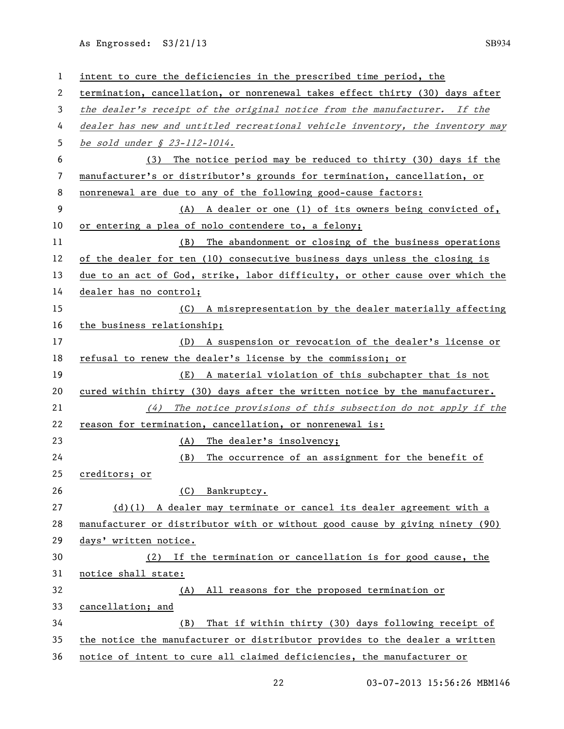| 1  | intent to cure the deficiencies in the prescribed time period, the            |
|----|-------------------------------------------------------------------------------|
| 2  | termination, cancellation, or nonrenewal takes effect thirty (30) days after  |
| 3  | the dealer's receipt of the original notice from the manufacturer. If the     |
| 4  | dealer has new and untitled recreational vehicle inventory, the inventory may |
| 5  | be sold under $$23-112-1014.$                                                 |
| 6  | The notice period may be reduced to thirty (30) days if the<br>(3)            |
| 7  | manufacturer's or distributor's grounds for termination, cancellation, or     |
| 8  | nonrenewal are due to any of the following good-cause factors:                |
| 9  | (A) A dealer or one (1) of its owners being convicted of,                     |
| 10 | or entering a plea of nolo contendere to, a felony;                           |
| 11 | (B) The abandonment or closing of the business operations                     |
| 12 | of the dealer for ten (10) consecutive business days unless the closing is    |
| 13 | due to an act of God, strike, labor difficulty, or other cause over which the |
| 14 | dealer has no control;                                                        |
| 15 | (C) A misrepresentation by the dealer materially affecting                    |
| 16 | the business relationship;                                                    |
| 17 | (D) A suspension or revocation of the dealer's license or                     |
| 18 | refusal to renew the dealer's license by the commission; or                   |
| 19 | (E) A material violation of this subchapter that is not                       |
| 20 | cured within thirty (30) days after the written notice by the manufacturer.   |
| 21 | The notice provisions of this subsection do not apply if the<br>(4)           |
| 22 | reason for termination, cancellation, or nonrenewal is:                       |
| 23 | (A) The dealer's insolvency;                                                  |
| 24 | The occurrence of an assignment for the benefit of<br>(B)                     |
| 25 | creditors; or                                                                 |
| 26 | (C) Bankruptcy.                                                               |
| 27 | $(d)(1)$ A dealer may terminate or cancel its dealer agreement with a         |
| 28 | manufacturer or distributor with or without good cause by giving ninety (90)  |
| 29 | days' written notice.                                                         |
| 30 | (2) If the termination or cancellation is for good cause, the                 |
| 31 | notice shall state:                                                           |
| 32 | All reasons for the proposed termination or<br>(A)                            |
| 33 | cancellation; and                                                             |
| 34 | That if within thirty (30) days following receipt of<br>(B)                   |
| 35 | the notice the manufacturer or distributor provides to the dealer a written   |
| 36 | notice of intent to cure all claimed deficiencies, the manufacturer or        |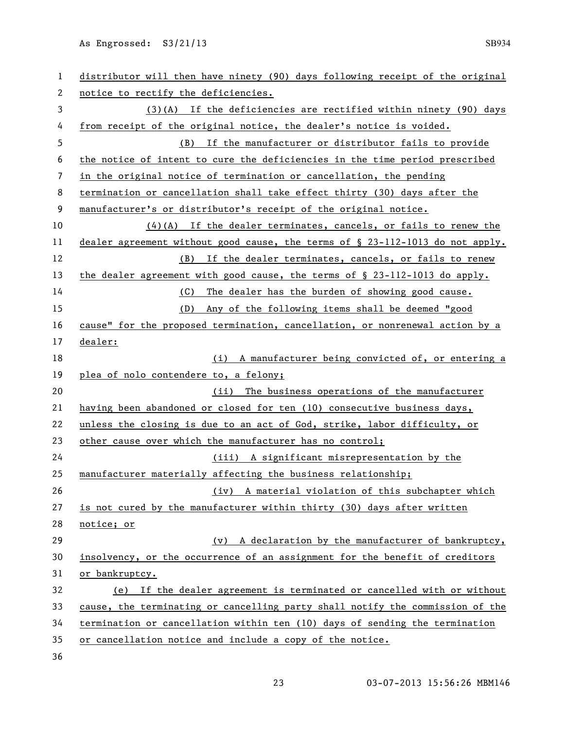| $\mathbf{1}$ | distributor will then have ninety (90) days following receipt of the original    |
|--------------|----------------------------------------------------------------------------------|
| 2            | notice to rectify the deficiencies.                                              |
| 3            | (3)(A) If the deficiencies are rectified within ninety (90) days                 |
| 4            | from receipt of the original notice, the dealer's notice is voided.              |
| 5            | (B) If the manufacturer or distributor fails to provide                          |
| 6            | the notice of intent to cure the deficiencies in the time period prescribed      |
| 7            | in the original notice of termination or cancellation, the pending               |
| 8            | termination or cancellation shall take effect thirty (30) days after the         |
| 9            | manufacturer's or distributor's receipt of the original notice.                  |
| 10           | $(4)(A)$ If the dealer terminates, cancels, or fails to renew the                |
| 11           | dealer agreement without good cause, the terms of $\S$ 23-112-1013 do not apply. |
| 12           | (B) If the dealer terminates, cancels, or fails to renew                         |
| 13           | the dealer agreement with good cause, the terms of $\S$ 23-112-1013 do apply.    |
| 14           | The dealer has the burden of showing good cause.<br>(C)                          |
| 15           | Any of the following items shall be deemed "good<br>(D)                          |
| 16           | cause" for the proposed termination, cancellation, or nonrenewal action by a     |
| 17           | dealer:                                                                          |
| 18           | (i) A manufacturer being convicted of, or entering a                             |
| 19           | plea of nolo contendere to, a felony;                                            |
| 20           | (ii) The business operations of the manufacturer                                 |
| 21           | having been abandoned or closed for ten (10) consecutive business days,          |
| 22           | unless the closing is due to an act of God, strike, labor difficulty, or         |
| 23           | other cause over which the manufacturer has no control;                          |
| 24           | (iii) A significant misrepresentation by the                                     |
| 25           | manufacturer materially affecting the business relationship;                     |
| 26           | (iv) A material violation of this subchapter which                               |
| 27           | is not cured by the manufacturer within thirty (30) days after written           |
| 28           | notice; or                                                                       |
| 29           | (v) A declaration by the manufacturer of bankruptcy,                             |
| 30           | insolvency, or the occurrence of an assignment for the benefit of creditors      |
| 31           | or bankruptcy.                                                                   |
| 32           | (e) If the dealer agreement is terminated or cancelled with or without           |
| 33           | cause, the terminating or cancelling party shall notify the commission of the    |
| 34           | termination or cancellation within ten (10) days of sending the termination      |
| 35           | or cancellation notice and include a copy of the notice.                         |
| 36           |                                                                                  |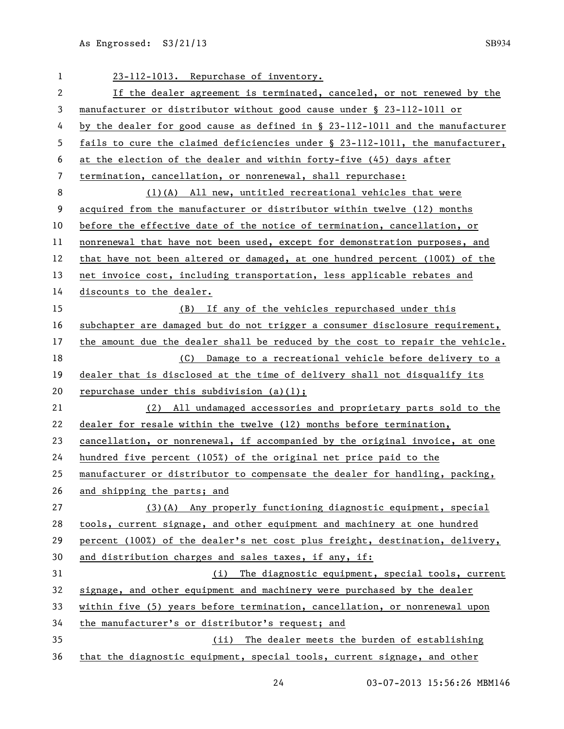| 1                        | 23-112-1013. Repurchase of inventory.                                         |
|--------------------------|-------------------------------------------------------------------------------|
| 2                        | If the dealer agreement is terminated, canceled, or not renewed by the        |
| 3                        | manufacturer or distributor without good cause under § 23-112-1011 or         |
| 4                        | by the dealer for good cause as defined in § 23-112-1011 and the manufacturer |
| 5                        | fails to cure the claimed deficiencies under § 23-112-1011, the manufacturer, |
| 6                        | at the election of the dealer and within forty-five (45) days after           |
| $\overline{\phantom{a}}$ | termination, cancellation, or nonrenewal, shall repurchase:                   |
| 8                        | $(1)(A)$ All new, untitled recreational vehicles that were                    |
| 9                        | acquired from the manufacturer or distributor within twelve (12) months       |
| 10                       | before the effective date of the notice of termination, cancellation, or      |
| 11                       | nonrenewal that have not been used, except for demonstration purposes, and    |
| 12                       | that have not been altered or damaged, at one hundred percent (100%) of the   |
| 13                       | net invoice cost, including transportation, less applicable rebates and       |
| 14                       | discounts to the dealer.                                                      |
| 15                       | (B) If any of the vehicles repurchased under this                             |
| 16                       | subchapter are damaged but do not trigger a consumer disclosure requirement,  |
| 17                       | the amount due the dealer shall be reduced by the cost to repair the vehicle. |
| 18                       | (C) Damage to a recreational vehicle before delivery to a                     |
| 19                       | dealer that is disclosed at the time of delivery shall not disqualify its     |
| 20                       | repurchase under this subdivision $(a)(1);$                                   |
| 21                       | (2) All undamaged accessories and proprietary parts sold to the               |
| 22                       | dealer for resale within the twelve (12) months before termination,           |
| 23                       | cancellation, or nonrenewal, if accompanied by the original invoice, at one   |
| 24                       | hundred five percent (105%) of the original net price paid to the             |
| 25                       | manufacturer or distributor to compensate the dealer for handling, packing,   |
| 26                       | and shipping the parts; and                                                   |
| 27                       | (3)(A) Any properly functioning diagnostic equipment, special                 |
| 28                       | tools, current signage, and other equipment and machinery at one hundred      |
| 29                       | percent (100%) of the dealer's net cost plus freight, destination, delivery,  |
| 30                       | and distribution charges and sales taxes, if any, if:                         |
| 31                       | (i) The diagnostic equipment, special tools, current                          |
| 32                       | signage, and other equipment and machinery were purchased by the dealer       |
| 33                       | within five (5) years before termination, cancellation, or nonrenewal upon    |
| 34                       | the manufacturer's or distributor's request; and                              |
| 35                       | (ii) The dealer meets the burden of establishing                              |
| 36                       | that the diagnostic equipment, special tools, current signage, and other      |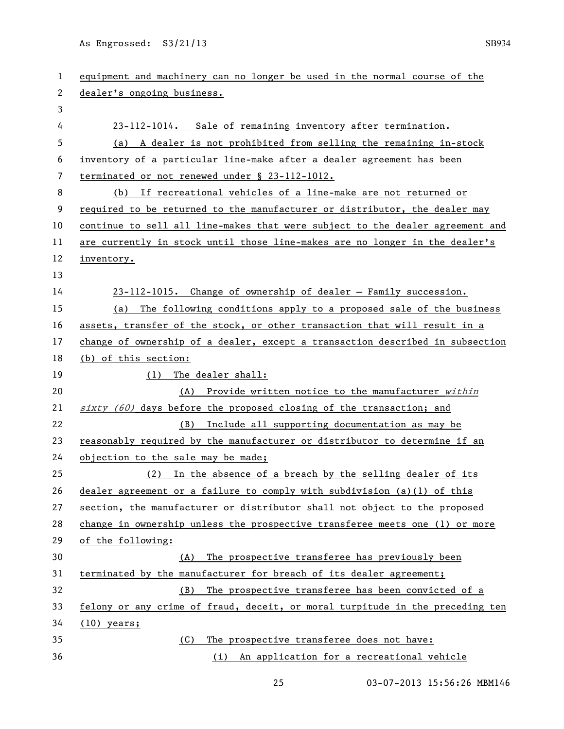| 1  | equipment and machinery can no longer be used in the normal course of the     |
|----|-------------------------------------------------------------------------------|
| 2  | dealer's ongoing business.                                                    |
| 3  |                                                                               |
| 4  | 23-112-1014. Sale of remaining inventory after termination.                   |
| 5  | (a) A dealer is not prohibited from selling the remaining in-stock            |
| 6  | inventory of a particular line-make after a dealer agreement has been         |
| 7  | terminated or not renewed under § 23-112-1012.                                |
| 8  | If recreational vehicles of a line-make are not returned or<br>(b)            |
| 9  | required to be returned to the manufacturer or distributor, the dealer may    |
| 10 | continue to sell all line-makes that were subject to the dealer agreement and |
| 11 | are currently in stock until those line-makes are no longer in the dealer's   |
| 12 | inventory.                                                                    |
| 13 |                                                                               |
| 14 | 23-112-1015. Change of ownership of dealer - Family succession.               |
| 15 | The following conditions apply to a proposed sale of the business<br>(a)      |
| 16 | assets, transfer of the stock, or other transaction that will result in a     |
| 17 | change of ownership of a dealer, except a transaction described in subsection |
| 18 | (b) of this section:                                                          |
| 19 | The dealer shall:<br>(1)                                                      |
| 20 | (A) Provide written notice to the manufacturer within                         |
| 21 | $sixty$ (60) days before the proposed closing of the transaction; and         |
| 22 | Include all supporting documentation as may be<br>(B)                         |
| 23 | reasonably required by the manufacturer or distributor to determine if an     |
| 24 | objection to the sale may be made;                                            |
| 25 | (2) In the absence of a breach by the selling dealer of its                   |
| 26 | dealer agreement or a failure to comply with subdivision $(a)(1)$ of this     |
| 27 | section, the manufacturer or distributor shall not object to the proposed     |
| 28 | change in ownership unless the prospective transferee meets one (1) or more   |
| 29 | of the following:                                                             |
| 30 | The prospective transferee has previously been<br>(A)                         |
| 31 | terminated by the manufacturer for breach of its dealer agreement;            |
| 32 | The prospective transferee has been convicted of a<br>(B)                     |
| 33 | felony or any crime of fraud, deceit, or moral turpitude in the preceding ten |
| 34 | $(10)$ years;                                                                 |
| 35 | The prospective transferee does not have:<br>(C)                              |
| 36 |                                                                               |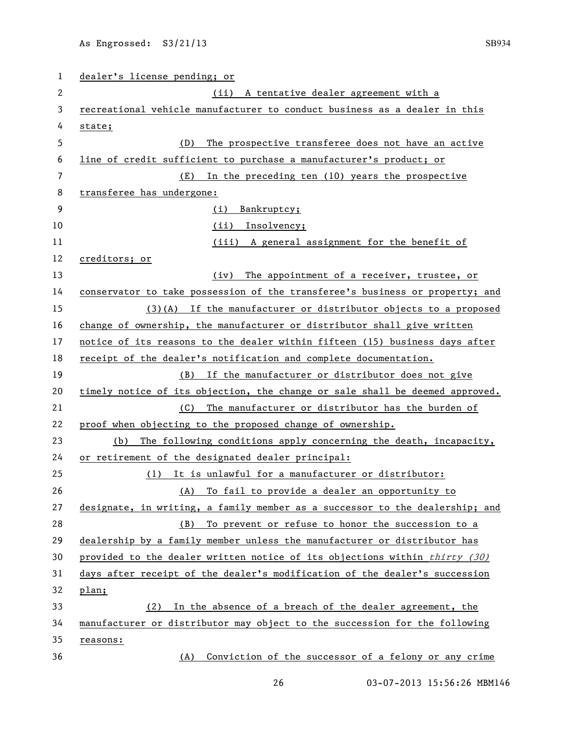| 1  | dealer's license pending; or                                                 |
|----|------------------------------------------------------------------------------|
| 2  | (ii)<br>A tentative dealer agreement with a                                  |
| 3  | recreational vehicle manufacturer to conduct business as a dealer in this    |
| 4  | state;                                                                       |
| 5  | The prospective transferee does not have an active<br>(D)                    |
| 6  | line of credit sufficient to purchase a manufacturer's product; or           |
| 7  | In the preceding ten (10) years the prospective<br>(E)                       |
| 8  | transferee has undergone:                                                    |
| 9  | Bankruptcy;<br>(i)                                                           |
| 10 | (ii) Insolvency;                                                             |
| 11 | (iii) A general assignment for the benefit of                                |
| 12 | creditors; or                                                                |
| 13 | The appointment of a receiver, trustee, or<br>(iv)                           |
| 14 | conservator to take possession of the transferee's business or property; and |
| 15 | $(3)(A)$ If the manufacturer or distributor objects to a proposed            |
| 16 | change of ownership, the manufacturer or distributor shall give written      |
| 17 | notice of its reasons to the dealer within fifteen (15) business days after  |
| 18 | receipt of the dealer's notification and complete documentation.             |
| 19 | (B) If the manufacturer or distributor does not give                         |
| 20 | timely notice of its objection, the change or sale shall be deemed approved. |
| 21 | The manufacturer or distributor has the burden of<br>(C) —                   |
| 22 | proof when objecting to the proposed change of ownership.                    |
| 23 | The following conditions apply concerning the death, incapacity,<br>(b)      |
| 24 | or retirement of the designated dealer principal:                            |
| 25 | (1) It is unlawful for a manufacturer or distributor:                        |
| 26 | To fail to provide a dealer an opportunity to<br>(A)                         |
| 27 | designate, in writing, a family member as a successor to the dealership; and |
| 28 | (B) To prevent or refuse to honor the succession to a                        |
| 29 | dealership by a family member unless the manufacturer or distributor has     |
| 30 | provided to the dealer written notice of its objections within thirty (30)   |
| 31 | days after receipt of the dealer's modification of the dealer's succession   |
| 32 | plan;                                                                        |
| 33 | (2) In the absence of a breach of the dealer agreement, the                  |
| 34 | manufacturer or distributor may object to the succession for the following   |
| 35 | reasons:                                                                     |
| 36 | Conviction of the successor of a felony or any crime<br>(A)                  |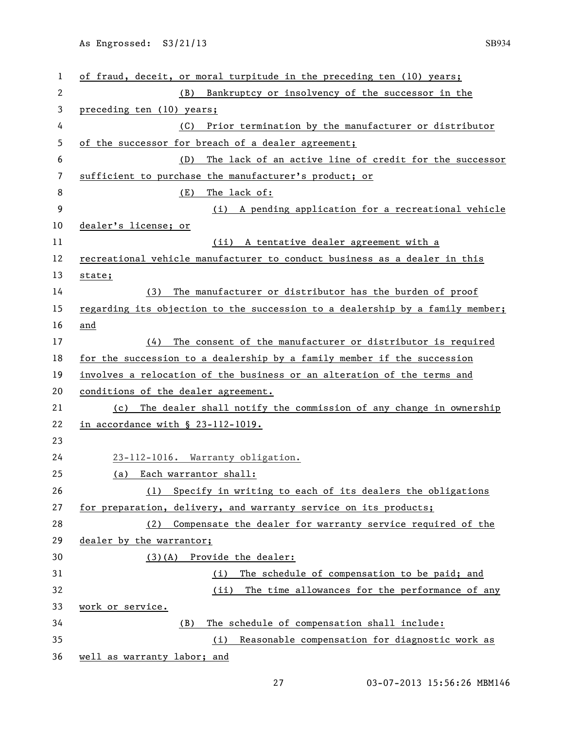| 1              | of fraud, deceit, or moral turpitude in the preceding ten (10) years;         |
|----------------|-------------------------------------------------------------------------------|
| 2              | Bankruptcy or insolvency of the successor in the<br>(B)                       |
| 3              | preceding ten (10) years;                                                     |
| 4              | Prior termination by the manufacturer or distributor<br>(C)                   |
| 5              | of the successor for breach of a dealer agreement;                            |
| 6              | The lack of an active line of credit for the successor<br>(D)                 |
| $\overline{7}$ | sufficient to purchase the manufacturer's product; or                         |
| 8              | (E)<br>The lack of:                                                           |
| 9              | (i) A pending application for a recreational vehicle                          |
| 10             | dealer's license; or                                                          |
| 11             | (ii) A tentative dealer agreement with a                                      |
| 12             | recreational vehicle manufacturer to conduct business as a dealer in this     |
| 13             | state;                                                                        |
| 14             | The manufacturer or distributor has the burden of proof<br>(3)                |
| 15             | regarding its objection to the succession to a dealership by a family member; |
| 16             | and                                                                           |
| 17             | The consent of the manufacturer or distributor is required<br>(4)             |
| 18             | for the succession to a dealership by a family member if the succession       |
| 19             | involves a relocation of the business or an alteration of the terms and       |
| 20             | conditions of the dealer agreement.                                           |
| 21             | (c) The dealer shall notify the commission of any change in ownership         |
| 22             | in accordance with § 23-112-1019.                                             |
| 23             |                                                                               |
| 24             | 23-112-1016. Warranty obligation.                                             |
| 25             | (a) Each warrantor shall:                                                     |
| 26             | (1) Specify in writing to each of its dealers the obligations                 |
| 27             | for preparation, delivery, and warranty service on its products;              |
| 28             | (2) Compensate the dealer for warranty service required of the                |
| 29             | dealer by the warrantor;                                                      |
| 30             | (3)(A) Provide the dealer:                                                    |
| 31             | The schedule of compensation to be paid; and<br>(i)                           |
| 32             | (ii) The time allowances for the performance of any                           |
| 33             | work or service.                                                              |
| 34             | The schedule of compensation shall include:<br>(B)                            |
| 35             | Reasonable compensation for diagnostic work as<br>(i)                         |
| 36             | well as warranty labor; and                                                   |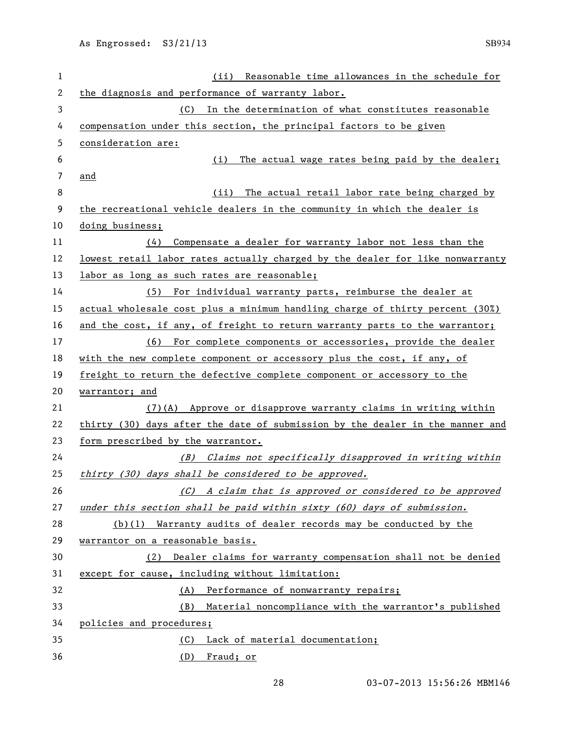| 1            | Reasonable time allowances in the schedule for<br>(iii)                       |
|--------------|-------------------------------------------------------------------------------|
| $\mathbf{2}$ | the diagnosis and performance of warranty labor.                              |
| 3            | (C) In the determination of what constitutes reasonable                       |
| 4            | compensation under this section, the principal factors to be given            |
| 5            | consideration are:                                                            |
| 6            | The actual wage rates being paid by the dealer;<br>(i)                        |
| 7            | and                                                                           |
| 8            | The actual retail labor rate being charged by<br>(ii)                         |
| 9            | the recreational vehicle dealers in the community in which the dealer is      |
| 10           | doing business;                                                               |
| 11           | (4)<br>Compensate a dealer for warranty labor not less than the               |
| 12           | lowest retail labor rates actually charged by the dealer for like nonwarranty |
| 13           | labor as long as such rates are reasonable;                                   |
| 14           | (5)<br>For individual warranty parts, reimburse the dealer at                 |
| 15           | actual wholesale cost plus a minimum handling charge of thirty percent (30%)  |
| 16           | and the cost, if any, of freight to return warranty parts to the warrantor;   |
| 17           | (6) For complete components or accessories, provide the dealer                |
| 18           | with the new complete component or accessory plus the cost, if any, of        |
| 19           | freight to return the defective complete component or accessory to the        |
| 20           | warrantor; and                                                                |
| 21           | (7) (A) Approve or disapprove warranty claims in writing within               |
| 22           | thirty (30) days after the date of submission by the dealer in the manner and |
| 23           | form prescribed by the warrantor.                                             |
| 24           | (B) Claims not specifically disapproved in writing within                     |
| 25           | thirty (30) days shall be considered to be approved.                          |
| 26           | (C) A claim that is approved or considered to be approved                     |
| 27           | under this section shall be paid within sixty (60) days of submission.        |
| 28           | (b)(1) Warranty audits of dealer records may be conducted by the              |
| 29           | warrantor on a reasonable basis.                                              |
| 30           | (2) Dealer claims for warranty compensation shall not be denied               |
| 31           | except for cause, including without limitation:                               |
| 32           | (A) Performance of nonwarranty repairs;                                       |
| 33           | Material noncompliance with the warrantor's published<br>(B)                  |
| 34           | policies and procedures;                                                      |
| 35           | Lack of material documentation;<br>(C)                                        |
| 36           | (D)<br><u>Fraud; or</u>                                                       |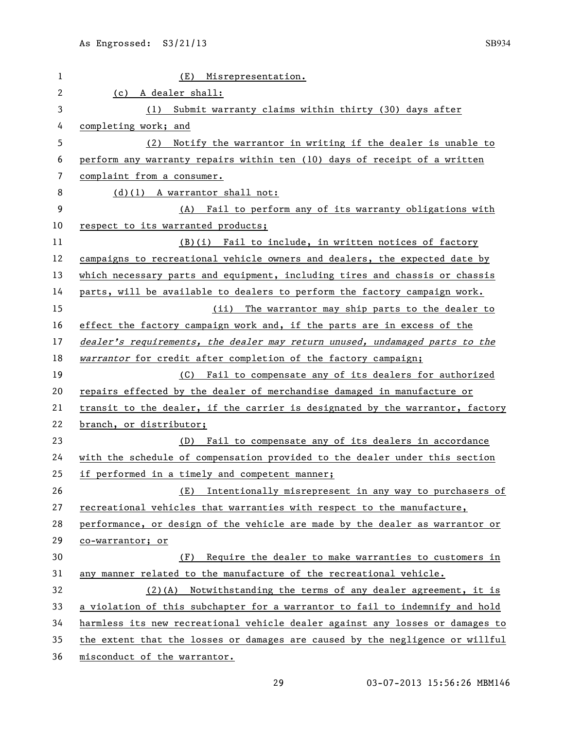| 1              | (E)<br>Misrepresentation.                                                     |
|----------------|-------------------------------------------------------------------------------|
| $\overline{c}$ | (c) A dealer shall:                                                           |
| 3              | Submit warranty claims within thirty (30) days after<br>(1)                   |
| 4              | completing work; and                                                          |
| 5              | Notify the warrantor in writing if the dealer is unable to<br>(2)             |
| 6              | perform any warranty repairs within ten (10) days of receipt of a written     |
| 7              | complaint from a consumer.                                                    |
| 8              | $(d)(1)$ A warrantor shall not:                                               |
| 9              | (A) Fail to perform any of its warranty obligations with                      |
| 10             | respect to its warranted products;                                            |
| 11             | (B)(i) Fail to include, in written notices of factory                         |
| 12             | campaigns to recreational vehicle owners and dealers, the expected date by    |
| 13             | which necessary parts and equipment, including tires and chassis or chassis   |
| 14             | parts, will be available to dealers to perform the factory campaign work.     |
| 15             | (ii) The warrantor may ship parts to the dealer to                            |
| 16             | effect the factory campaign work and, if the parts are in excess of the       |
| 17             | dealer's requirements, the dealer may return unused, undamaged parts to the   |
| 18             | warrantor for credit after completion of the factory campaign;                |
| 19             | (C) Fail to compensate any of its dealers for authorized                      |
| 20             | repairs effected by the dealer of merchandise damaged in manufacture or       |
| 21             | transit to the dealer, if the carrier is designated by the warrantor, factory |
| 22             | branch, or distributor;                                                       |
| 23             | (D) Fail to compensate any of its dealers in accordance                       |
| 24             | with the schedule of compensation provided to the dealer under this section   |
| 25             | if performed in a timely and competent manner;                                |
| 26             | Intentionally misrepresent in any way to purchasers of<br>(E)                 |
| 27             | recreational vehicles that warranties with respect to the manufacture,        |
| 28             | performance, or design of the vehicle are made by the dealer as warrantor or  |
| 29             | co-warrantor; or                                                              |
| 30             | Require the dealer to make warranties to customers in<br>(F)                  |
| 31             | any manner related to the manufacture of the recreational vehicle.            |
| 32             | (2)(A) Notwithstanding the terms of any dealer agreement, it is               |
| 33             | a violation of this subchapter for a warrantor to fail to indemnify and hold  |
| 34             | harmless its new recreational vehicle dealer against any losses or damages to |
| 35             | the extent that the losses or damages are caused by the negligence or willful |
| 36             | misconduct of the warrantor.                                                  |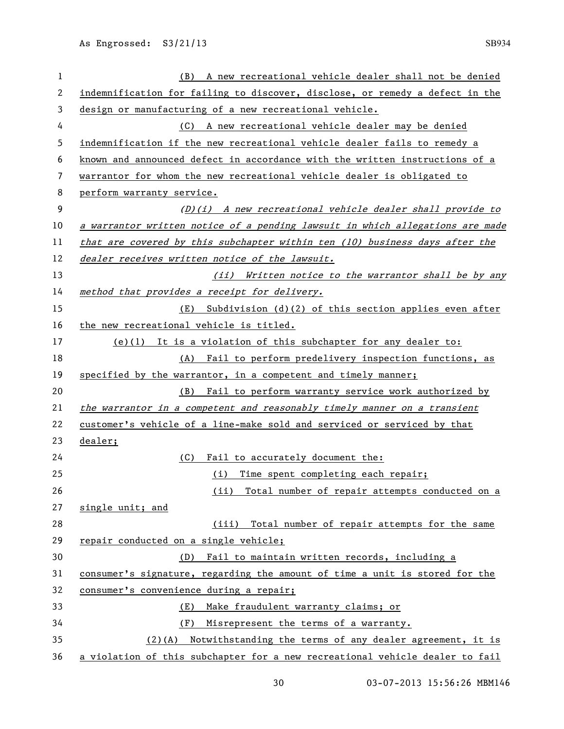| 1  | A new recreational vehicle dealer shall not be denied<br>(B)                  |
|----|-------------------------------------------------------------------------------|
| 2  | indemnification for failing to discover, disclose, or remedy a defect in the  |
| 3  | design or manufacturing of a new recreational vehicle.                        |
| 4  | (C) A new recreational vehicle dealer may be denied                           |
| 5  | indemnification if the new recreational vehicle dealer fails to remedy a      |
| 6  | known and announced defect in accordance with the written instructions of a   |
| 7  | warrantor for whom the new recreational vehicle dealer is obligated to        |
| 8  | perform warranty service.                                                     |
| 9  | $(D)(i)$ A new recreational vehicle dealer shall provide to                   |
| 10 | a warrantor written notice of a pending lawsuit in which allegations are made |
| 11 | that are covered by this subchapter within ten (10) business days after the   |
| 12 | dealer receives written notice of the lawsuit.                                |
| 13 | (ii) Written notice to the warrantor shall be by any                          |
| 14 | method that provides a receipt for delivery.                                  |
| 15 | Subdivision $(d)(2)$ of this section applies even after<br>(E)                |
| 16 | the new recreational vehicle is titled.                                       |
| 17 | (e)(1) It is a violation of this subchapter for any dealer to:                |
| 18 | (A) Fail to perform predelivery inspection functions, as                      |
| 19 | specified by the warrantor, in a competent and timely manner;                 |
| 20 | Fail to perform warranty service work authorized by<br>(B)                    |
| 21 | the warrantor in a competent and reasonably timely manner on a transient      |
| 22 | customer's vehicle of a line-make sold and serviced or serviced by that       |
| 23 | dealer;                                                                       |
| 24 | Fail to accurately document the:<br>(C)                                       |
| 25 | (i) Time spent completing each repair;                                        |
| 26 | Total number of repair attempts conducted on a<br>(ii)                        |
| 27 | single unit; and                                                              |
| 28 | (iii) Total number of repair attempts for the same                            |
| 29 | repair conducted on a single vehicle;                                         |
| 30 | (D) Fail to maintain written records, including a                             |
| 31 | consumer's signature, regarding the amount of time a unit is stored for the   |
| 32 | consumer's convenience during a repair;                                       |
| 33 | Make fraudulent warranty claims; or<br>(E)                                    |
| 34 | Misrepresent the terms of a warranty.<br>(F)                                  |
| 35 | $(2)$ (A) Notwithstanding the terms of any dealer agreement, it is            |
| 36 | a violation of this subchapter for a new recreational vehicle dealer to fail  |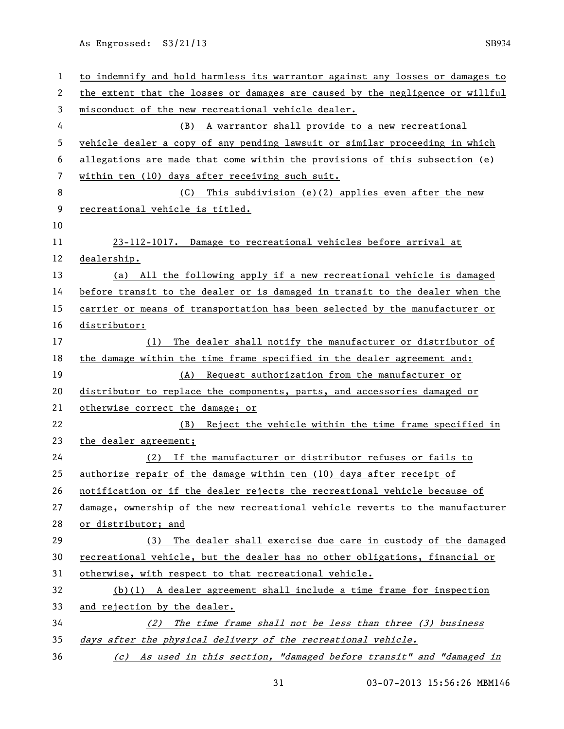| 1  | to indemnify and hold harmless its warrantor against any losses or damages to |
|----|-------------------------------------------------------------------------------|
| 2  | the extent that the losses or damages are caused by the negligence or willful |
| 3  | misconduct of the new recreational vehicle dealer.                            |
| 4  | A warrantor shall provide to a new recreational<br>(B)                        |
| 5  | vehicle dealer a copy of any pending lawsuit or similar proceeding in which   |
| 6  | allegations are made that come within the provisions of this subsection (e)   |
| 7  | within ten (10) days after receiving such suit.                               |
| 8  | (C) This subdivision (e)(2) applies even after the new                        |
| 9  | recreational vehicle is titled.                                               |
| 10 |                                                                               |
| 11 | 23-112-1017. Damage to recreational vehicles before arrival at                |
| 12 | dealership.                                                                   |
| 13 | (a) All the following apply if a new recreational vehicle is damaged          |
| 14 | before transit to the dealer or is damaged in transit to the dealer when the  |
| 15 | carrier or means of transportation has been selected by the manufacturer or   |
| 16 | <u>distributor:</u>                                                           |
| 17 | The dealer shall notify the manufacturer or distributor of<br>(1)             |
| 18 | the damage within the time frame specified in the dealer agreement and:       |
| 19 | Request authorization from the manufacturer or<br>(A)                         |
| 20 | distributor to replace the components, parts, and accessories damaged or      |
| 21 | otherwise correct the damage; or                                              |
| 22 | (B) Reject the vehicle within the time frame specified in                     |
| 23 | the dealer agreement;                                                         |
| 24 | If the manufacturer or distributor refuses or fails to<br>(2)                 |
| 25 | authorize repair of the damage within ten (10) days after receipt of          |
| 26 | notification or if the dealer rejects the recreational vehicle because of     |
| 27 | damage, ownership of the new recreational vehicle reverts to the manufacturer |
| 28 | or distributor; and                                                           |
| 29 | The dealer shall exercise due care in custody of the damaged<br>(3)           |
| 30 | recreational vehicle, but the dealer has no other obligations, financial or   |
| 31 | otherwise, with respect to that recreational vehicle.                         |
| 32 | $(b)(1)$ A dealer agreement shall include a time frame for inspection         |
| 33 | and rejection by the dealer.                                                  |
| 34 | (2) The time frame shall not be less than three (3) business                  |
| 35 | days after the physical delivery of the recreational vehicle.                 |
| 36 | (c) As used in this section, "damaged before transit" and "damaged in         |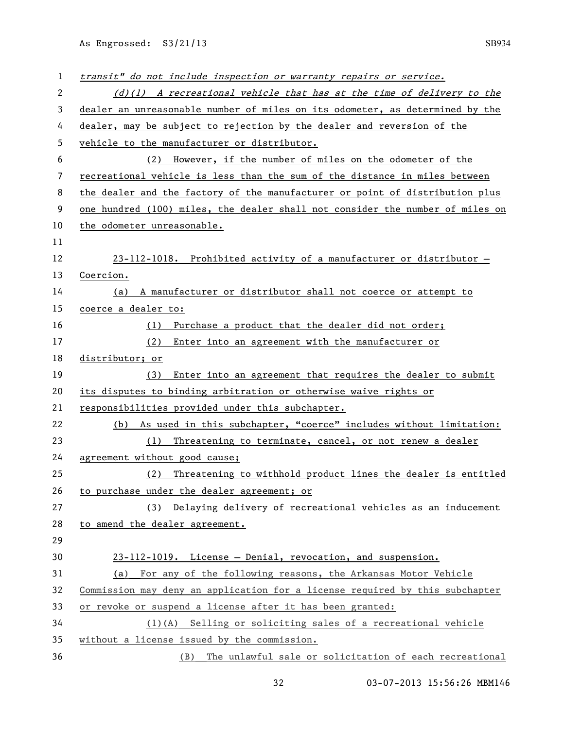| 1  | transit" do not include inspection or warranty repairs or service.            |
|----|-------------------------------------------------------------------------------|
| 2  | $(d)(1)$ A recreational vehicle that has at the time of delivery to the       |
| 3  | dealer an unreasonable number of miles on its odometer, as determined by the  |
| 4  | dealer, may be subject to rejection by the dealer and reversion of the        |
| 5  | vehicle to the manufacturer or distributor.                                   |
| 6  | (2) However, if the number of miles on the odometer of the                    |
| 7  | recreational vehicle is less than the sum of the distance in miles between    |
| 8  | the dealer and the factory of the manufacturer or point of distribution plus  |
| 9  | one hundred (100) miles, the dealer shall not consider the number of miles on |
| 10 | the odometer unreasonable.                                                    |
| 11 |                                                                               |
| 12 | 23-112-1018. Prohibited activity of a manufacturer or distributor -           |
| 13 | Coercion.                                                                     |
| 14 | (a) A manufacturer or distributor shall not coerce or attempt to              |
| 15 | coerce a dealer to:                                                           |
| 16 | (1) Purchase a product that the dealer did not order;                         |
| 17 | (2)<br>Enter into an agreement with the manufacturer or                       |
| 18 | distributor; or                                                               |
| 19 | Enter into an agreement that requires the dealer to submit<br>(3)             |
| 20 | its disputes to binding arbitration or otherwise waive rights or              |
| 21 | responsibilities provided under this subchapter.                              |
| 22 | (b) As used in this subchapter, "coerce" includes without limitation:         |
| 23 | (1)<br>Threatening to terminate, cancel, or not renew a dealer                |
| 24 | agreement without good cause;                                                 |
| 25 | (2) Threatening to withhold product lines the dealer is entitled              |
| 26 | to purchase under the dealer agreement; or                                    |
| 27 | (3) Delaying delivery of recreational vehicles as an inducement               |
| 28 | to amend the dealer agreement.                                                |
| 29 |                                                                               |
| 30 | 23-112-1019. License - Denial, revocation, and suspension.                    |
| 31 | (a) For any of the following reasons, the Arkansas Motor Vehicle              |
| 32 | Commission may deny an application for a license required by this subchapter  |
| 33 | or revoke or suspend a license after it has been granted:                     |
| 34 | $(1)(A)$ Selling or soliciting sales of a recreational vehicle                |
| 35 | without a license issued by the commission.                                   |
| 36 | (B) The unlawful sale or solicitation of each recreational                    |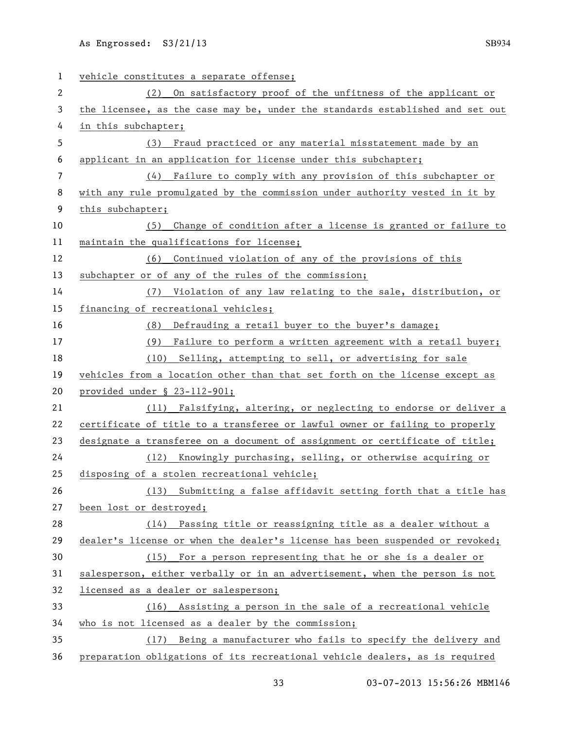vehicle constitutes a separate offense; (2) On satisfactory proof of the unfitness of the applicant or the licensee, as the case may be, under the standards established and set out in this subchapter; (3) Fraud practiced or any material misstatement made by an applicant in an application for license under this subchapter; (4) Failure to comply with any provision of this subchapter or with any rule promulgated by the commission under authority vested in it by this subchapter; (5) Change of condition after a license is granted or failure to maintain the qualifications for license; (6) Continued violation of any of the provisions of this subchapter or of any of the rules of the commission; (7) Violation of any law relating to the sale, distribution, or financing of recreational vehicles; (8) Defrauding a retail buyer to the buyer's damage; (9) Failure to perform a written agreement with a retail buyer; (10) Selling, attempting to sell, or advertising for sale vehicles from a location other than that set forth on the license except as provided under § 23-112-901; 21 (11) Falsifying, altering, or neglecting to endorse or deliver a certificate of title to a transferee or lawful owner or failing to properly designate a transferee on a document of assignment or certificate of title; (12) Knowingly purchasing, selling, or otherwise acquiring or disposing of a stolen recreational vehicle; (13) Submitting a false affidavit setting forth that a title has been lost or destroyed; (14) Passing title or reassigning title as a dealer without a dealer's license or when the dealer's license has been suspended or revoked; (15) For a person representing that he or she is a dealer or 31 salesperson, either verbally or in an advertisement, when the person is not licensed as a dealer or salesperson; (16) Assisting a person in the sale of a recreational vehicle who is not licensed as a dealer by the commission; (17) Being a manufacturer who fails to specify the delivery and preparation obligations of its recreational vehicle dealers, as is required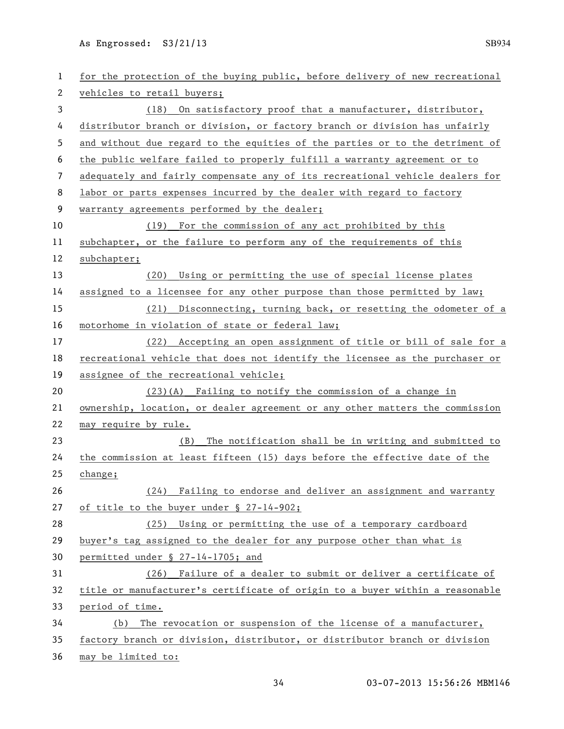| $\mathbf{1}$ | for the protection of the buying public, before delivery of new recreational |
|--------------|------------------------------------------------------------------------------|
| 2            | vehicles to retail buyers;                                                   |
| 3            | (18) On satisfactory proof that a manufacturer, distributor,                 |
| 4            | distributor branch or division, or factory branch or division has unfairly   |
| 5            | and without due regard to the equities of the parties or to the detriment of |
| 6            | the public welfare failed to properly fulfill a warranty agreement or to     |
| 7            | adequately and fairly compensate any of its recreational vehicle dealers for |
| 8            | labor or parts expenses incurred by the dealer with regard to factory        |
| 9            | warranty agreements performed by the dealer;                                 |
| 10           | (19) For the commission of any act prohibited by this                        |
| 11           | subchapter, or the failure to perform any of the requirements of this        |
| 12           | subchapter;                                                                  |
| 13           | Using or permitting the use of special license plates<br>(20)                |
| 14           | assigned to a licensee for any other purpose than those permitted by law;    |
| 15           | (21) Disconnecting, turning back, or resetting the odometer of a             |
| 16           | motorhome in violation of state or federal law;                              |
| 17           | (22) Accepting an open assignment of title or bill of sale for a             |
| 18           | recreational vehicle that does not identify the licensee as the purchaser or |
| 19           | assignee of the recreational vehicle;                                        |
| 20           | $(23)(A)$ Failing to notify the commission of a change in                    |
| 21           | ownership, location, or dealer agreement or any other matters the commission |
| 22           | may require by rule.                                                         |
| 23           | The notification shall be in writing and submitted to<br>(B)                 |
| 24           | the commission at least fifteen (15) days before the effective date of the   |
| 25           | change;                                                                      |
| 26           | (24) Failing to endorse and deliver an assignment and warranty               |
| 27           | of title to the buyer under § 27-14-902;                                     |
| 28           | (25) Using or permitting the use of a temporary cardboard                    |
| 29           | buyer's tag assigned to the dealer for any purpose other than what is        |
| 30           | permitted under § 27-14-1705; and                                            |
| 31           | (26) Failure of a dealer to submit or deliver a certificate of               |
| 32           | title or manufacturer's certificate of origin to a buyer within a reasonable |
| 33           | period of time.                                                              |
| 34           | The revocation or suspension of the license of a manufacturer,<br>(b)        |
| 35           | factory branch or division, distributor, or distributor branch or division   |
| 36           | may be limited to:                                                           |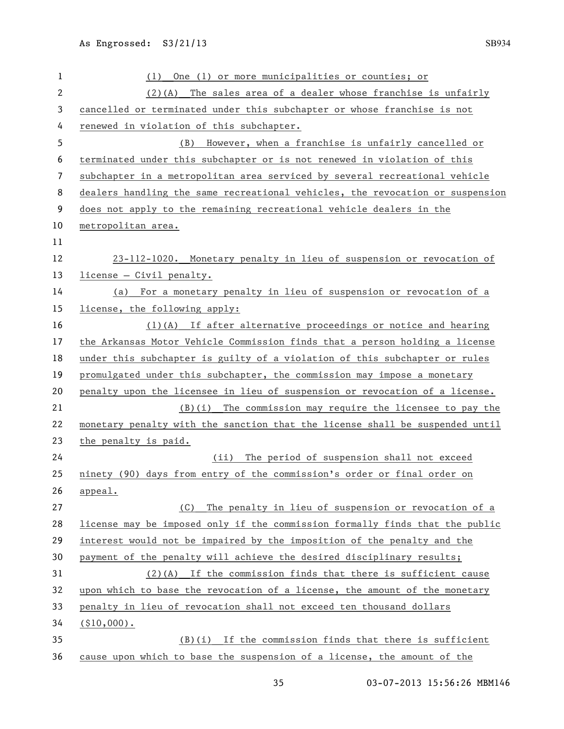| 1              | One (1) or more municipalities or counties; or<br>(1)                         |
|----------------|-------------------------------------------------------------------------------|
| $\overline{c}$ | $(2)(A)$ The sales area of a dealer whose franchise is unfairly               |
| 3              | cancelled or terminated under this subchapter or whose franchise is not       |
| 4              | renewed in violation of this subchapter.                                      |
| 5              | (B) However, when a franchise is unfairly cancelled or                        |
| 6              | terminated under this subchapter or is not renewed in violation of this       |
| 7              | subchapter in a metropolitan area serviced by several recreational vehicle    |
| 8              | dealers handling the same recreational vehicles, the revocation or suspension |
| 9              | does not apply to the remaining recreational vehicle dealers in the           |
| 10             | metropolitan area.                                                            |
| 11             |                                                                               |
| 12             | 23-112-1020. Monetary penalty in lieu of suspension or revocation of          |
| 13             | license - Civil penalty.                                                      |
| 14             | (a) For a monetary penalty in lieu of suspension or revocation of a           |
| 15             | license, the following apply:                                                 |
| 16             | $(1)(A)$ If after alternative proceedings or notice and hearing               |
| 17             | the Arkansas Motor Vehicle Commission finds that a person holding a license   |
| 18             | under this subchapter is guilty of a violation of this subchapter or rules    |
| 19             | promulgated under this subchapter, the commission may impose a monetary       |
| 20             | penalty upon the licensee in lieu of suspension or revocation of a license.   |
| 21             | $(B)(i)$ The commission may require the licensee to pay the                   |
| 22             | monetary penalty with the sanction that the license shall be suspended until  |
| 23             | the penalty is paid.                                                          |
| 24             | (ii) The period of suspension shall not exceed                                |
| 25             | ninety (90) days from entry of the commission's order or final order on       |
| 26             | appeal.                                                                       |
| 27             | (C) The penalty in lieu of suspension or revocation of a                      |
| 28             | license may be imposed only if the commission formally finds that the public  |
| 29             | interest would not be impaired by the imposition of the penalty and the       |
| 30             | payment of the penalty will achieve the desired disciplinary results;         |
| 31             | $(2)(A)$ If the commission finds that there is sufficient cause               |
| 32             | upon which to base the revocation of a license, the amount of the monetary    |
| 33             | penalty in lieu of revocation shall not exceed ten thousand dollars           |
| 34             | $( $10,000)$ .                                                                |
| 35             | $(B)(i)$ If the commission finds that there is sufficient                     |
| 36             | cause upon which to base the suspension of a license, the amount of the       |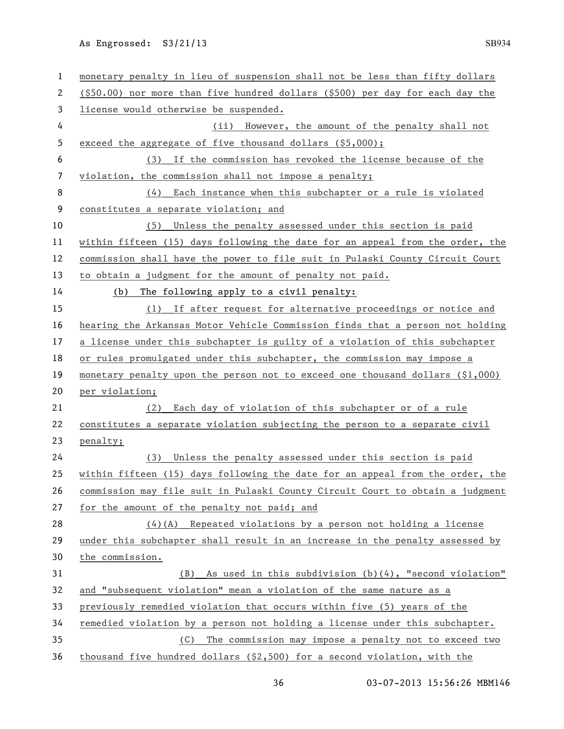| 1  | monetary penalty in lieu of suspension shall not be less than fifty dollars   |
|----|-------------------------------------------------------------------------------|
| 2  | (\$50.00) nor more than five hundred dollars (\$500) per day for each day the |
| 3  | license would otherwise be suspended.                                         |
| 4  | (ii) However, the amount of the penalty shall not                             |
| 5  | exceed the aggregate of five thousand dollars (\$5,000);                      |
| 6  | (3) If the commission has revoked the license because of the                  |
| 7  | violation, the commission shall not impose a penalty;                         |
| 8  | (4) Each instance when this subchapter or a rule is violated                  |
| 9  | constitutes a separate violation; and                                         |
| 10 | (5) Unless the penalty assessed under this section is paid                    |
| 11 | within fifteen (15) days following the date for an appeal from the order, the |
| 12 | commission shall have the power to file suit in Pulaski County Circuit Court  |
| 13 | to obtain a judgment for the amount of penalty not paid.                      |
| 14 | The following apply to a civil penalty:<br>(b)                                |
| 15 | If after request for alternative proceedings or notice and<br>(1)             |
| 16 | hearing the Arkansas Motor Vehicle Commission finds that a person not holding |
| 17 | a license under this subchapter is guilty of a violation of this subchapter   |
| 18 | or rules promulgated under this subchapter, the commission may impose a       |
| 19 | monetary penalty upon the person not to exceed one thousand dollars $(1,000)$ |
| 20 | per violation;                                                                |
| 21 | Each day of violation of this subchapter or of a rule<br>(2)                  |
| 22 | constitutes a separate violation subjecting the person to a separate civil    |
| 23 | penalty;                                                                      |
| 24 | (3) Unless the penalty assessed under this section is paid                    |
| 25 | within fifteen (15) days following the date for an appeal from the order, the |
| 26 | commission may file suit in Pulaski County Circuit Court to obtain a judgment |
| 27 | for the amount of the penalty not paid; and                                   |
| 28 | $(4)$ (A) Repeated violations by a person not holding a license               |
| 29 | under this subchapter shall result in an increase in the penalty assessed by  |
| 30 | the commission.                                                               |
| 31 | (B) As used in this subdivision (b)(4), "second violation"                    |
| 32 | and "subsequent violation" mean a violation of the same nature as a           |
| 33 | previously remedied violation that occurs within five (5) years of the        |
| 34 | remedied violation by a person not holding a license under this subchapter.   |
| 35 | The commission may impose a penalty not to exceed two<br>(C)                  |
| 36 | thousand five hundred dollars (\$2,500) for a second violation, with the      |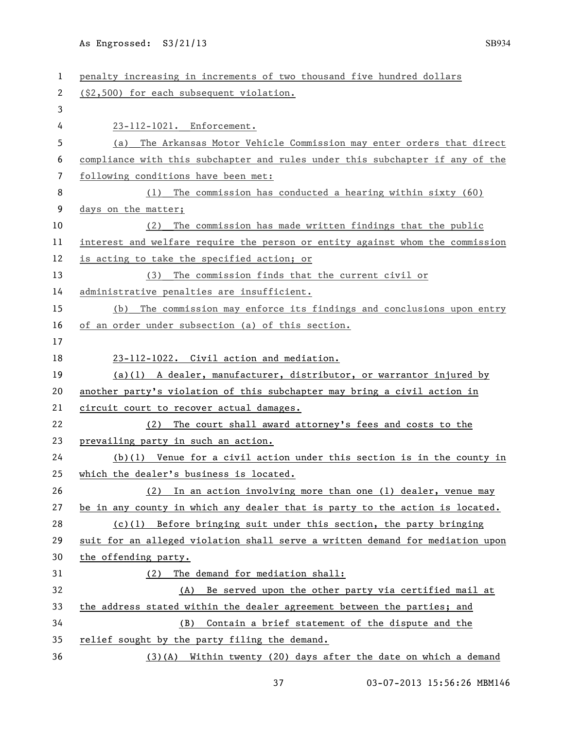| 1  | penalty increasing in increments of two thousand five hundred dollars         |
|----|-------------------------------------------------------------------------------|
| 2  | (\$2,500) for each subsequent violation.                                      |
| 3  |                                                                               |
| 4  | 23-112-1021. Enforcement.                                                     |
| 5  | The Arkansas Motor Vehicle Commission may enter orders that direct<br>(a)     |
| 6  | compliance with this subchapter and rules under this subchapter if any of the |
| 7  | following conditions have been met:                                           |
| 8  | The commission has conducted a hearing within sixty (60)<br>(1)               |
| 9  | days on the matter;                                                           |
| 10 | The commission has made written findings that the public<br>(2)               |
| 11 | interest and welfare require the person or entity against whom the commission |
| 12 | is acting to take the specified action; or                                    |
| 13 | (3) The commission finds that the current civil or                            |
| 14 | administrative penalties are insufficient.                                    |
| 15 | (b) The commission may enforce its findings and conclusions upon entry        |
| 16 | of an order under subsection (a) of this section.                             |
| 17 |                                                                               |
| 18 | 23-112-1022. Civil action and mediation.                                      |
| 19 | $(a)(1)$ A dealer, manufacturer, distributor, or warrantor injured by         |
| 20 | another party's violation of this subchapter may bring a civil action in      |
| 21 | circuit court to recover actual damages.                                      |
| 22 | The court shall award attorney's fees and costs to the<br>(2)                 |
| 23 | prevailing party in such an action.                                           |
| 24 | $(b)(1)$ Venue for a civil action under this section is in the county in      |
| 25 | which the dealer's business is located.                                       |
| 26 | In an action involving more than one (1) dealer, venue may<br>(2)             |
| 27 | be in any county in which any dealer that is party to the action is located.  |
| 28 | (c)(1) Before bringing suit under this section, the party bringing            |
| 29 | suit for an alleged violation shall serve a written demand for mediation upon |
| 30 | the offending party.                                                          |
| 31 | The demand for mediation shall:<br>(2)                                        |
| 32 | (A) Be served upon the other party via certified mail at                      |
| 33 | the address stated within the dealer agreement between the parties; and       |
| 34 | Contain a brief statement of the dispute and the<br>(B)                       |
| 35 | relief sought by the party filing the demand.                                 |
| 36 | $(3)(A)$ Within twenty (20) days after the date on which a demand             |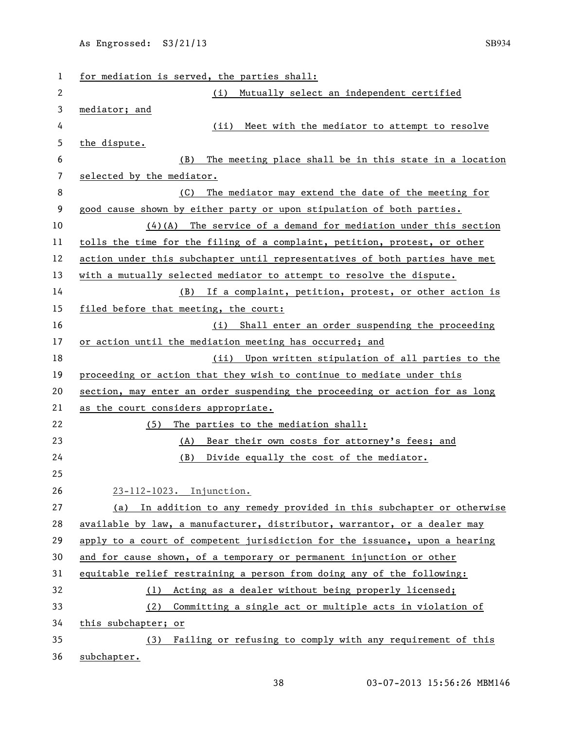| 1  | for mediation is served, the parties shall:                                 |
|----|-----------------------------------------------------------------------------|
| 2  | Mutually select an independent certified<br>(i)                             |
| 3  | mediator; and                                                               |
| 4  | Meet with the mediator to attempt to resolve<br>(ii)                        |
| 5  | the dispute.                                                                |
| 6  | The meeting place shall be in this state in a location<br>(B)               |
| 7  | selected by the mediator.                                                   |
| 8  | The mediator may extend the date of the meeting for<br>(C)                  |
| 9  | good cause shown by either party or upon stipulation of both parties.       |
| 10 | $(4)(A)$ The service of a demand for mediation under this section           |
| 11 | tolls the time for the filing of a complaint, petition, protest, or other   |
| 12 | action under this subchapter until representatives of both parties have met |
| 13 | with a mutually selected mediator to attempt to resolve the dispute.        |
| 14 | (B) If a complaint, petition, protest, or other action is                   |
| 15 | filed before that meeting, the court:                                       |
| 16 | (i) Shall enter an order suspending the proceeding                          |
| 17 | or action until the mediation meeting has occurred; and                     |
| 18 | (ii) Upon written stipulation of all parties to the                         |
| 19 | proceeding or action that they wish to continue to mediate under this       |
| 20 | section, may enter an order suspending the proceeding or action for as long |
| 21 | as the court considers appropriate.                                         |
| 22 | (5) The parties to the mediation shall:                                     |
| 23 | (A) Bear their own costs for attorney's fees; and                           |
| 24 | (B)<br>Divide equally the cost of the mediator.                             |
| 25 |                                                                             |
| 26 | 23-112-1023. Injunction.                                                    |
| 27 | (a) In addition to any remedy provided in this subchapter or otherwise      |
| 28 | available by law, a manufacturer, distributor, warrantor, or a dealer may   |
| 29 | apply to a court of competent jurisdiction for the issuance, upon a hearing |
| 30 | and for cause shown, of a temporary or permanent injunction or other        |
| 31 | equitable relief restraining a person from doing any of the following:      |
| 32 | (1) Acting as a dealer without being properly licensed;                     |
| 33 | (2) Committing a single act or multiple acts in violation of                |
| 34 | this subchapter; or                                                         |
| 35 | (3) Failing or refusing to comply with any requirement of this              |
| 36 | subchapter.                                                                 |